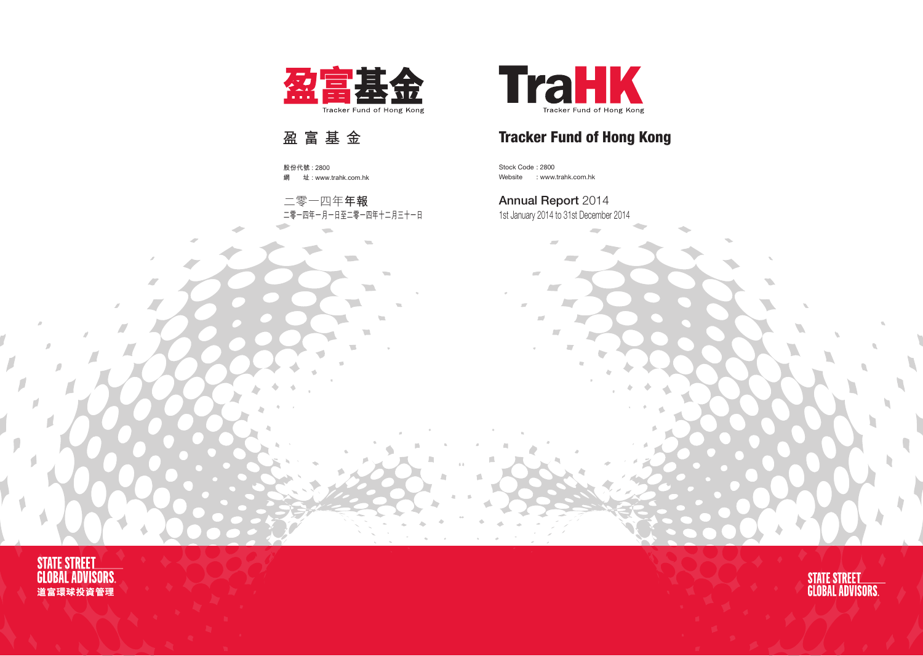

Stock Code : 2800 Website : www.trahk.com.hk

# Annual Report 2014

1st January 2014 to 31st December 2014

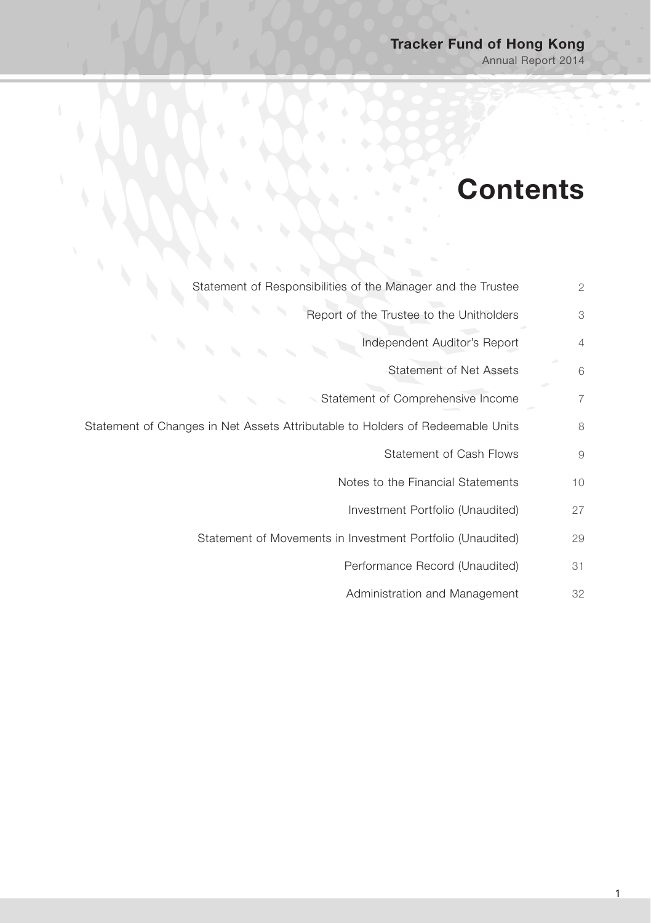# **Contents**

| Statement of Responsibilities of the Manager and the Trustee                   | $\overline{2}$ |
|--------------------------------------------------------------------------------|----------------|
| Report of the Trustee to the Unitholders                                       | 3              |
| Independent Auditor's Report                                                   | $\overline{4}$ |
| Statement of Net Assets                                                        | 6              |
| Statement of Comprehensive Income                                              | 7              |
| Statement of Changes in Net Assets Attributable to Holders of Redeemable Units | 8              |
| Statement of Cash Flows                                                        | 9              |
| Notes to the Financial Statements                                              | 10             |
| Investment Portfolio (Unaudited)                                               | 27             |
| Statement of Movements in Investment Portfolio (Unaudited)                     | 29             |
| Performance Record (Unaudited)                                                 | 31             |
| Administration and Management                                                  | 32             |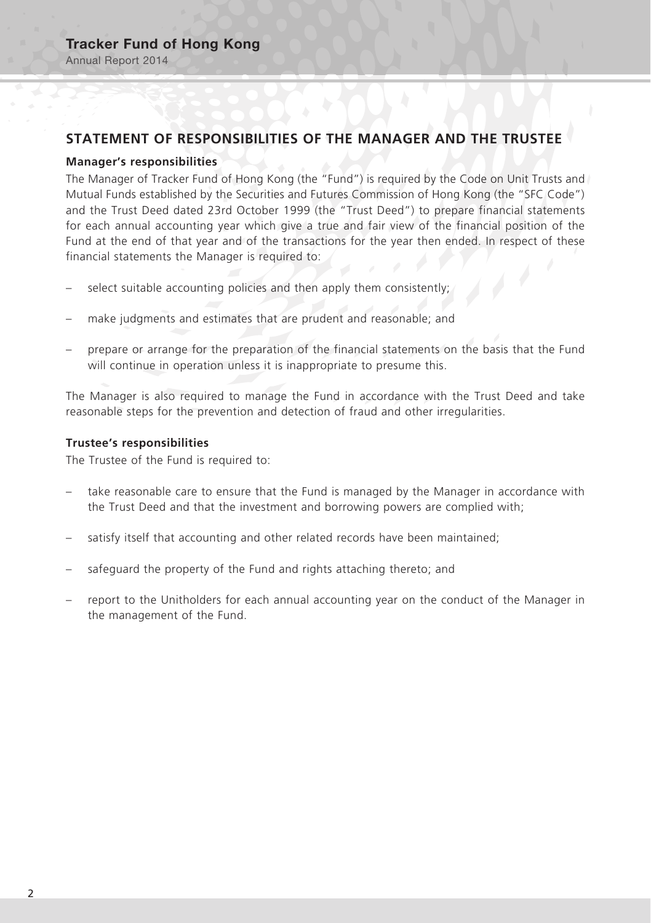# **STATEMENT OF RESPONSIBILITIES OF THE MANAGER AND THE TRUSTEE**

#### **Manager's responsibilities**

The Manager of Tracker Fund of Hong Kong (the "Fund") is required by the Code on Unit Trusts and Mutual Funds established by the Securities and Futures Commission of Hong Kong (the "SFC Code") and the Trust Deed dated 23rd October 1999 (the "Trust Deed") to prepare financial statements for each annual accounting year which give a true and fair view of the financial position of the Fund at the end of that year and of the transactions for the year then ended. In respect of these financial statements the Manager is required to:

- select suitable accounting policies and then apply them consistently;
- make judgments and estimates that are prudent and reasonable; and
- prepare or arrange for the preparation of the financial statements on the basis that the Fund will continue in operation unless it is inappropriate to presume this.

The Manager is also required to manage the Fund in accordance with the Trust Deed and take reasonable steps for the prevention and detection of fraud and other irregularities.

#### **Trustee's responsibilities**

The Trustee of the Fund is required to:

- take reasonable care to ensure that the Fund is managed by the Manager in accordance with the Trust Deed and that the investment and borrowing powers are complied with;
- satisfy itself that accounting and other related records have been maintained;
- safeguard the property of the Fund and rights attaching thereto; and
- report to the Unitholders for each annual accounting year on the conduct of the Manager in the management of the Fund.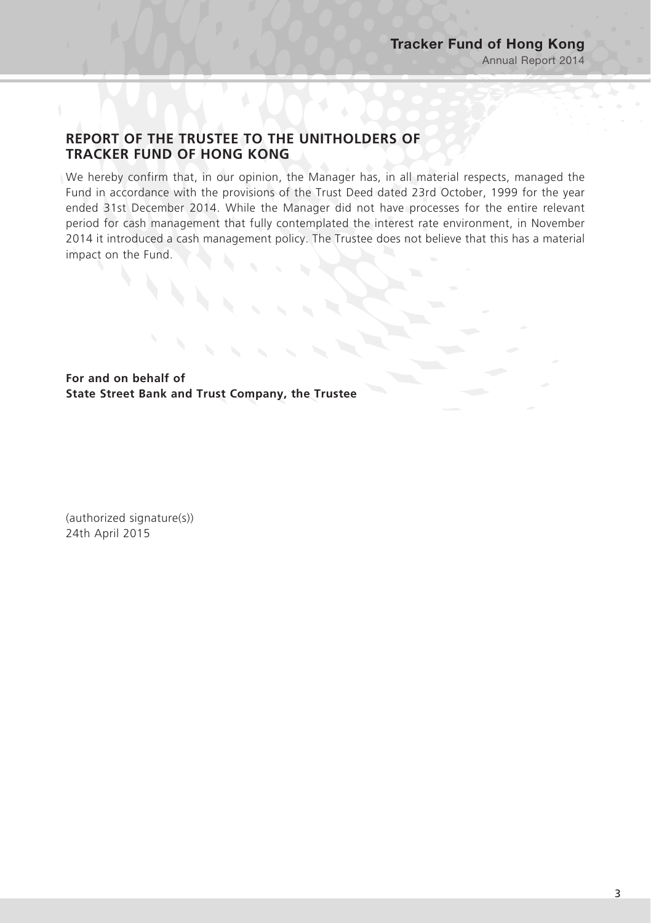# **REPORT OF THE TRUSTEE TO THE UNITHOLDERS OF TRACKER FUND OF HONG KONG**

We hereby confirm that, in our opinion, the Manager has, in all material respects, managed the Fund in accordance with the provisions of the Trust Deed dated 23rd October, 1999 for the year ended 31st December 2014. While the Manager did not have processes for the entire relevant period for cash management that fully contemplated the interest rate environment, in November 2014 it introduced a cash management policy. The Trustee does not believe that this has a material impact on the Fund.

**For and on behalf of State Street Bank and Trust Company, the Trustee**

(authorized signature(s)) 24th April 2015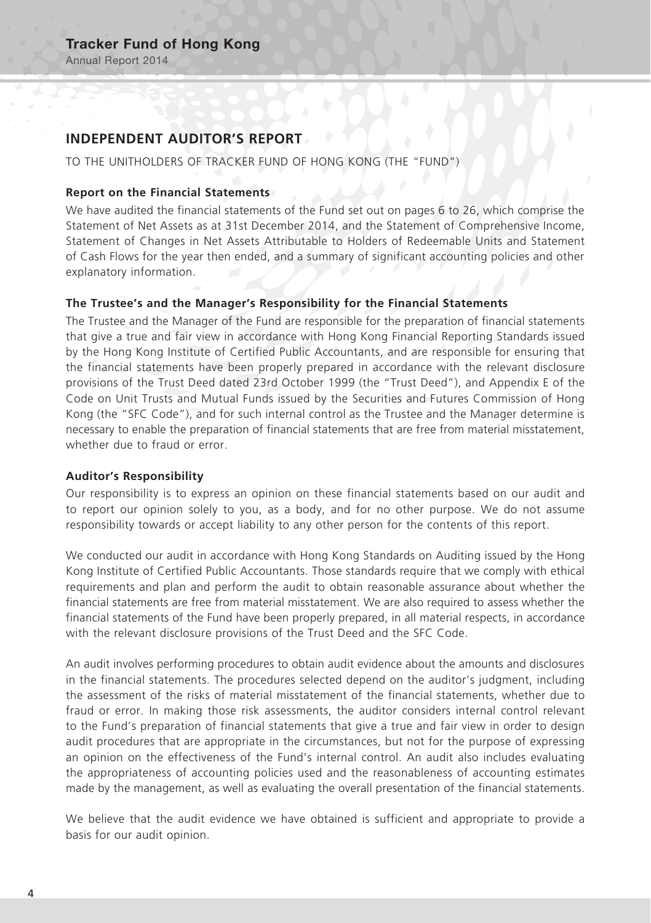### **INDEPENDENT AUDITOR'S REPORT**

TO THE UNITHOLDERS OF TRACKER FUND OF HONG KONG (THE "FUND")

#### **Report on the Financial Statements**

We have audited the financial statements of the Fund set out on pages 6 to 26, which comprise the Statement of Net Assets as at 31st December 2014, and the Statement of Comprehensive Income, Statement of Changes in Net Assets Attributable to Holders of Redeemable Units and Statement of Cash Flows for the year then ended, and a summary of significant accounting policies and other explanatory information.

#### **The Trustee's and the Manager's Responsibility for the Financial Statements**

The Trustee and the Manager of the Fund are responsible for the preparation of financial statements that give a true and fair view in accordance with Hong Kong Financial Reporting Standards issued by the Hong Kong Institute of Certified Public Accountants, and are responsible for ensuring that the financial statements have been properly prepared in accordance with the relevant disclosure provisions of the Trust Deed dated 23rd October 1999 (the "Trust Deed"), and Appendix E of the Code on Unit Trusts and Mutual Funds issued by the Securities and Futures Commission of Hong Kong (the "SFC Code"), and for such internal control as the Trustee and the Manager determine is necessary to enable the preparation of financial statements that are free from material misstatement, whether due to fraud or error.

#### **Auditor's Responsibility**

Our responsibility is to express an opinion on these financial statements based on our audit and to report our opinion solely to you, as a body, and for no other purpose. We do not assume responsibility towards or accept liability to any other person for the contents of this report.

We conducted our audit in accordance with Hong Kong Standards on Auditing issued by the Hong Kong Institute of Certified Public Accountants. Those standards require that we comply with ethical requirements and plan and perform the audit to obtain reasonable assurance about whether the financial statements are free from material misstatement. We are also required to assess whether the financial statements of the Fund have been properly prepared, in all material respects, in accordance with the relevant disclosure provisions of the Trust Deed and the SFC Code.

An audit involves performing procedures to obtain audit evidence about the amounts and disclosures in the financial statements. The procedures selected depend on the auditor's judgment, including the assessment of the risks of material misstatement of the financial statements, whether due to fraud or error. In making those risk assessments, the auditor considers internal control relevant to the Fund's preparation of financial statements that give a true and fair view in order to design audit procedures that are appropriate in the circumstances, but not for the purpose of expressing an opinion on the effectiveness of the Fund's internal control. An audit also includes evaluating the appropriateness of accounting policies used and the reasonableness of accounting estimates made by the management, as well as evaluating the overall presentation of the financial statements.

We believe that the audit evidence we have obtained is sufficient and appropriate to provide a basis for our audit opinion.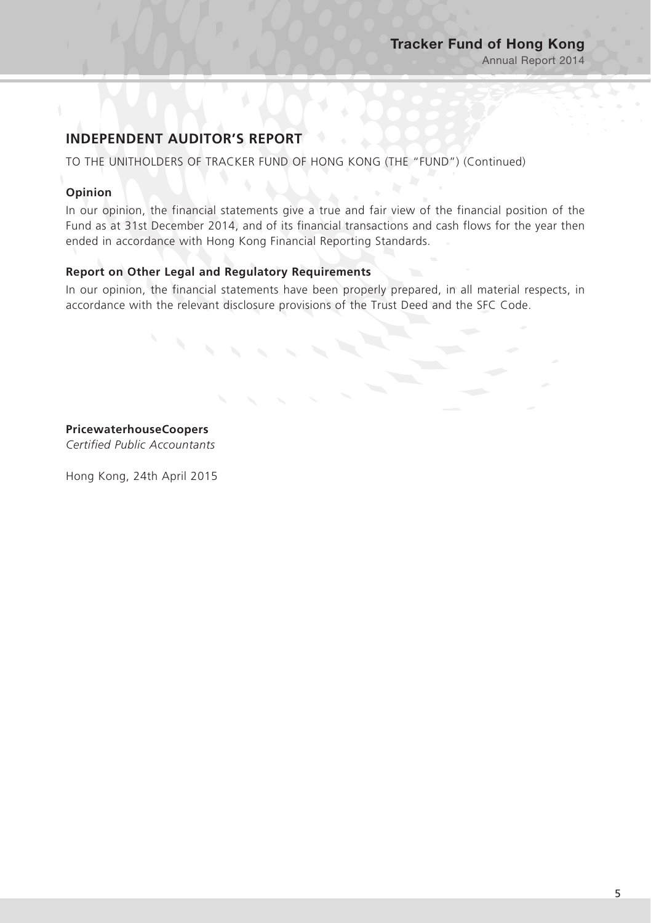# **INDEPENDENT AUDITOR'S REPORT**

TO THE UNITHOLDERS OF TRACKER FUND OF HONG KONG (THE "FUND") (Continued)

### **Opinion**

In our opinion, the financial statements give a true and fair view of the financial position of the Fund as at 31st December 2014, and of its financial transactions and cash flows for the year then ended in accordance with Hong Kong Financial Reporting Standards.

### **Report on Other Legal and Regulatory Requirements**

In our opinion, the financial statements have been properly prepared, in all material respects, in accordance with the relevant disclosure provisions of the Trust Deed and the SFC Code.

**PricewaterhouseCoopers** *Certified Public Accountants*

Hong Kong, 24th April 2015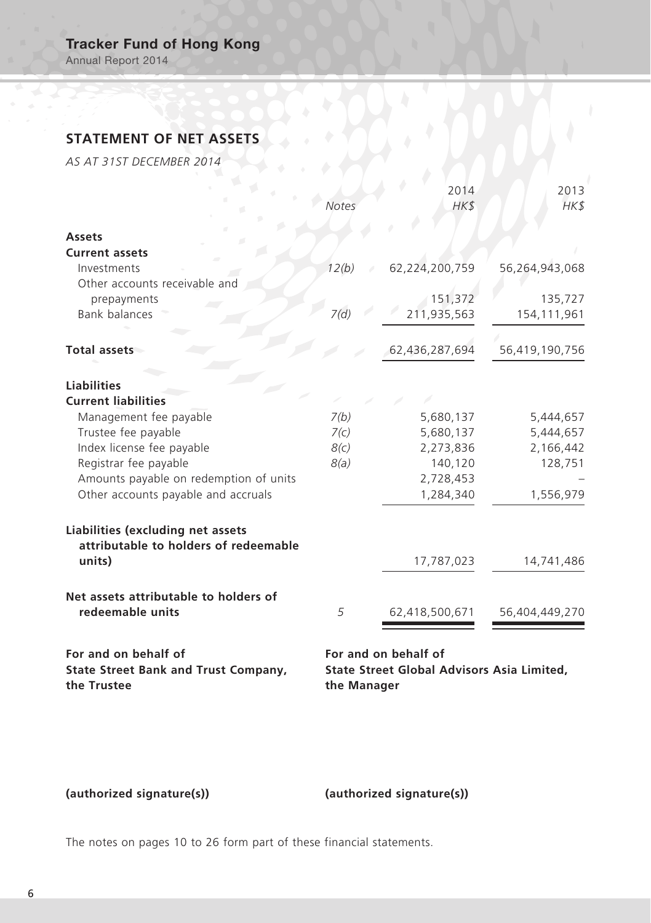Annual Report 2014

# **STATEMENT OF NET ASSETS**

*AS AT 31ST DECEMBER 2014*

|                                                                            | <b>Notes</b> | 2014<br>HK\$         | 2013<br>HK\$   |
|----------------------------------------------------------------------------|--------------|----------------------|----------------|
| <b>Assets</b>                                                              |              |                      |                |
| <b>Current assets</b>                                                      |              |                      |                |
| Investments                                                                | 12(b)        | 62,224,200,759       | 56,264,943,068 |
| Other accounts receivable and                                              |              |                      |                |
| prepayments                                                                |              | 151,372              | 135,727        |
| <b>Bank balances</b>                                                       | 7(d)         | 211,935,563          | 154,111,961    |
| Total assets                                                               |              | 62,436,287,694       | 56,419,190,756 |
| <b>Liabilities</b>                                                         |              |                      |                |
| <b>Current liabilities</b>                                                 |              |                      |                |
| Management fee payable                                                     | 7(b)         | 5,680,137            | 5,444,657      |
| Trustee fee payable                                                        | 7(c)         | 5,680,137            | 5,444,657      |
| Index license fee payable                                                  | 8(c)         | 2,273,836            | 2,166,442      |
| Registrar fee payable                                                      | 8(a)         | 140,120              | 128,751        |
| Amounts payable on redemption of units                                     |              | 2,728,453            |                |
| Other accounts payable and accruals                                        |              | 1,284,340            | 1,556,979      |
| Liabilities (excluding net assets<br>attributable to holders of redeemable |              |                      |                |
| units)                                                                     |              | 17,787,023           | 14,741,486     |
| Net assets attributable to holders of                                      |              |                      |                |
| redeemable units                                                           | 5            | 62,418,500,671       | 56,404,449,270 |
| For and on behalf of                                                       |              | For and on behalf of |                |

**State Street Bank and Trust Company, the Trustee**

**State Street Global Advisors Asia Limited, the Manager**

# **(authorized signature(s)) (authorized signature(s))**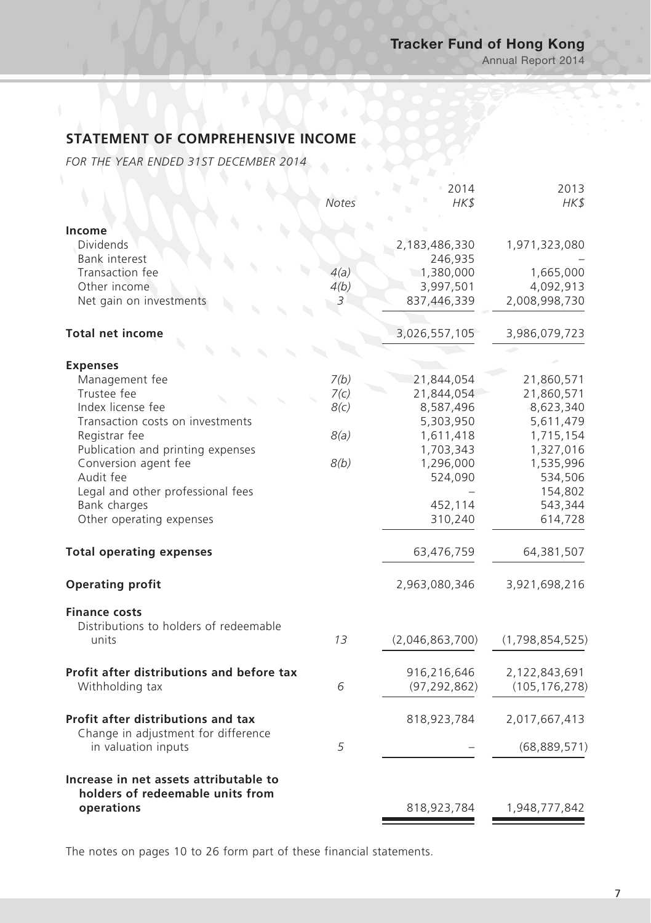# **STATEMENT OF COMPREHENSIVE INCOME**

*FOR THE YEAR ENDED 31ST DECEMBER 2014*

|                                                            | Notes        | 2014<br>HK\$             | 2013<br>HK\$             |
|------------------------------------------------------------|--------------|--------------------------|--------------------------|
| Income                                                     |              |                          |                          |
| <b>Dividends</b>                                           |              | 2,183,486,330            | 1,971,323,080            |
| Bank interest<br>Transaction fee                           | 4(a)         | 246,935<br>1,380,000     | 1,665,000                |
| Other income                                               | 4(b)         | 3,997,501                | 4,092,913                |
| Net gain on investments                                    | 3            | 837,446,339              | 2,008,998,730            |
| <b>Total net income</b>                                    |              | 3,026,557,105            | 3,986,079,723            |
|                                                            |              |                          |                          |
| <b>Expenses</b>                                            |              |                          |                          |
| Management fee<br>Trustee fee                              | 7(b)<br>7(c) | 21,844,054<br>21,844,054 | 21,860,571<br>21,860,571 |
| Index license fee                                          | 8(c)         | 8,587,496                | 8,623,340                |
| Transaction costs on investments                           |              | 5,303,950                | 5,611,479                |
| Registrar fee                                              | 8(a)         | 1,611,418                | 1,715,154                |
| Publication and printing expenses                          |              | 1,703,343                | 1,327,016                |
| Conversion agent fee                                       | 8(b)         | 1,296,000                | 1,535,996                |
| Audit fee                                                  |              | 524,090                  | 534,506                  |
| Legal and other professional fees                          |              |                          | 154,802                  |
| Bank charges                                               |              | 452,114                  | 543,344                  |
| Other operating expenses                                   |              | 310,240                  | 614,728                  |
| <b>Total operating expenses</b>                            |              | 63,476,759               | 64,381,507               |
| <b>Operating profit</b>                                    |              | 2,963,080,346            | 3,921,698,216            |
| <b>Finance costs</b>                                       |              |                          |                          |
| Distributions to holders of redeemable                     |              |                          |                          |
| units                                                      | 13           | (2,046,863,700)          | (1,798,854,525)          |
| Profit after distributions and before tax                  |              | 916,216,646              | 2,122,843,691            |
| Withholding tax                                            | 6            | (97, 292, 862)           | (105, 176, 278)          |
| Profit after distributions and tax                         |              | 818,923,784              | 2,017,667,413            |
| Change in adjustment for difference<br>in valuation inputs | 5            |                          | (68, 889, 571)           |
| Increase in net assets attributable to                     |              |                          |                          |
| holders of redeemable units from                           |              |                          |                          |
| operations                                                 |              | 818,923,784              | 1,948,777,842            |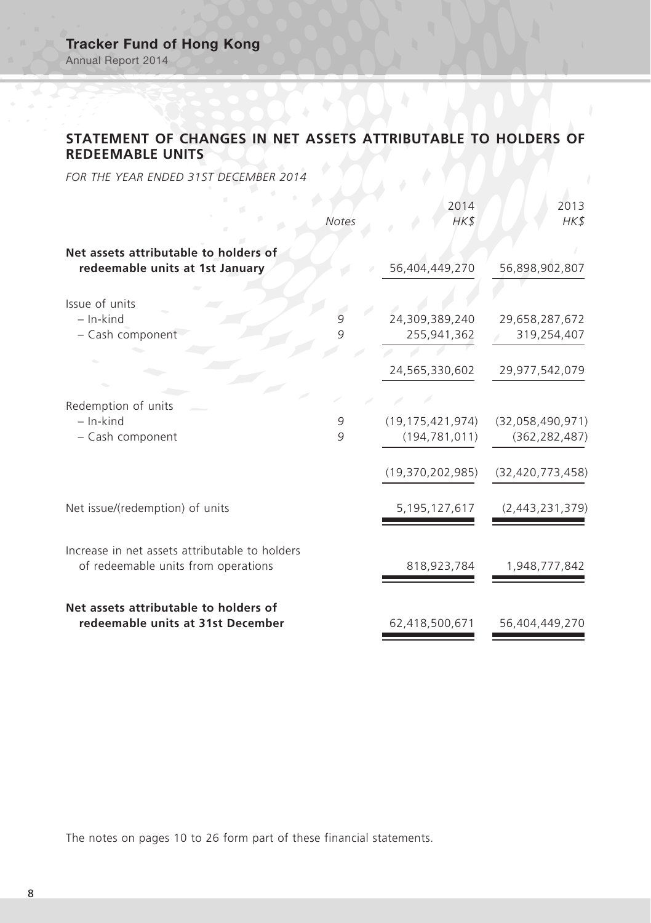# **STATEMENT OF CHANGES IN NET ASSETS ATTRIBUTABLE TO HOLDERS OF REDEEMABLE UNITS**

*FOR THE YEAR ENDED 31ST DECEMBER 2014*

|                                                                                       | Notes  | 2014<br>HK\$                                                  | 2013<br>HK\$                                               |
|---------------------------------------------------------------------------------------|--------|---------------------------------------------------------------|------------------------------------------------------------|
| Net assets attributable to holders of<br>redeemable units at 1st January              |        | 56,404,449,270                                                | 56,898,902,807                                             |
| Issue of units<br>$-$ In-kind<br>- Cash component                                     | 9<br>9 | 24,309,389,240<br>255,941,362                                 | 29,658,287,672<br>319,254,407                              |
|                                                                                       |        | 24,565,330,602                                                | 29,977,542,079                                             |
| Redemption of units<br>$-$ In-kind<br>- Cash component                                | 9<br>9 | (19, 175, 421, 974)<br>(194, 781, 011)<br>(19, 370, 202, 985) | (32,058,490,971)<br>(362, 282, 487)<br>(32, 420, 773, 458) |
| Net issue/(redemption) of units                                                       |        | 5,195,127,617                                                 | (2,443,231,379)                                            |
| Increase in net assets attributable to holders<br>of redeemable units from operations |        | 818,923,784                                                   | 1,948,777,842                                              |
| Net assets attributable to holders of<br>redeemable units at 31st December            |        | 62,418,500,671                                                | 56,404,449,270                                             |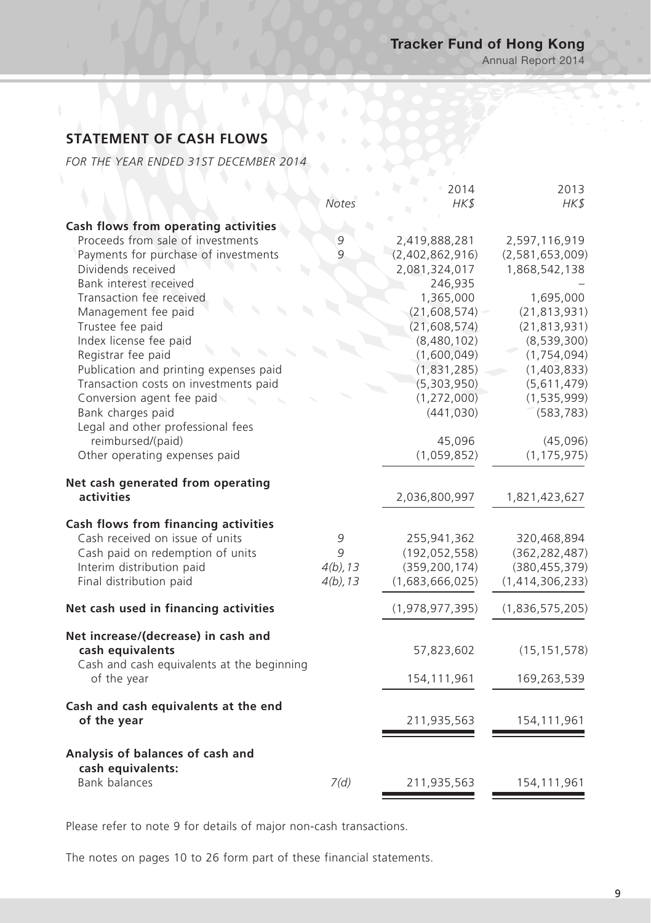Annual Report 2014

# **STATEMENT OF CASH FLOWS**

*FOR THE YEAR ENDED 31ST DECEMBER 2014*

|                                                           | <b>Notes</b>   | 2014<br>HK\$    | 2013<br>HK\$    |
|-----------------------------------------------------------|----------------|-----------------|-----------------|
| Cash flows from operating activities                      |                |                 |                 |
| Proceeds from sale of investments                         | 9              | 2,419,888,281   | 2,597,116,919   |
| Payments for purchase of investments                      | $\overline{q}$ | (2,402,862,916) | (2,581,653,009) |
| Dividends received                                        |                | 2,081,324,017   | 1,868,542,138   |
| Bank interest received                                    |                | 246,935         |                 |
| Transaction fee received                                  |                | 1,365,000       | 1,695,000       |
| Management fee paid                                       |                | (21, 608, 574)  | (21, 813, 931)  |
| Trustee fee paid                                          |                | (21, 608, 574)  | (21, 813, 931)  |
| Index license fee paid                                    |                | (8,480,102)     | (8,539,300)     |
| Registrar fee paid                                        |                | (1,600,049)     | (1, 754, 094)   |
| Publication and printing expenses paid                    |                | (1,831,285)     | (1,403,833)     |
| Transaction costs on investments paid                     |                | (5,303,950)     | (5,611,479)     |
| Conversion agent fee paid                                 |                | (1, 272, 000)   | (1, 535, 999)   |
| Bank charges paid                                         |                | (441, 030)      | (583, 783)      |
| Legal and other professional fees                         |                |                 |                 |
| reimbursed/(paid)                                         |                | 45,096          | (45,096)        |
| Other operating expenses paid                             |                | (1,059,852)     | (1, 175, 975)   |
| Net cash generated from operating                         |                |                 |                 |
| activities                                                |                | 2,036,800,997   | 1,821,423,627   |
| Cash flows from financing activities                      |                |                 |                 |
| Cash received on issue of units                           | 9              | 255,941,362     | 320,468,894     |
| Cash paid on redemption of units                          | 9              | (192, 052, 558) | (362, 282, 487) |
| Interim distribution paid                                 | $4(b)$ , 13    | (359, 200, 174) | (380, 455, 379) |
| Final distribution paid                                   | $4(b)$ , 13    | (1,683,666,025) | (1,414,306,233) |
| Net cash used in financing activities                     |                | (1,978,977,395) | (1,836,575,205) |
| Net increase/(decrease) in cash and                       |                |                 |                 |
| cash equivalents                                          |                | 57,823,602      | (15, 151, 578)  |
| Cash and cash equivalents at the beginning<br>of the year |                | 154,111,961     | 169,263,539     |
| Cash and cash equivalents at the end                      |                |                 |                 |
| of the year                                               |                | 211,935,563     | 154, 111, 961   |
| Analysis of balances of cash and                          |                |                 |                 |
| cash equivalents:<br><b>Bank balances</b>                 | 7(d)           | 211,935,563     | 154,111,961     |
|                                                           |                |                 |                 |

Please refer to note 9 for details of major non-cash transactions.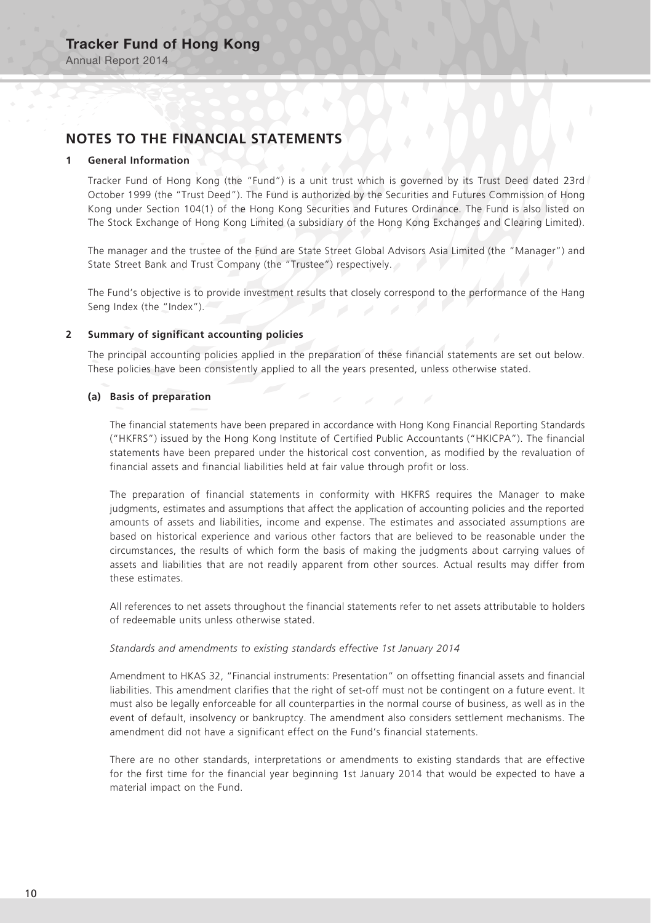### **NOTES TO THE FINANCIAL STATEMENTS**

#### **1 General Information**

Tracker Fund of Hong Kong (the "Fund") is a unit trust which is governed by its Trust Deed dated 23rd October 1999 (the "Trust Deed"). The Fund is authorized by the Securities and Futures Commission of Hong Kong under Section 104(1) of the Hong Kong Securities and Futures Ordinance. The Fund is also listed on The Stock Exchange of Hong Kong Limited (a subsidiary of the Hong Kong Exchanges and Clearing Limited).

The manager and the trustee of the Fund are State Street Global Advisors Asia Limited (the "Manager") and State Street Bank and Trust Company (the "Trustee") respectively.

The Fund's objective is to provide investment results that closely correspond to the performance of the Hang Seng Index (the "Index").

#### **2 Summary of significant accounting policies**

The principal accounting policies applied in the preparation of these financial statements are set out below. These policies have been consistently applied to all the years presented, unless otherwise stated.

#### **(a) Basis of preparation**

The financial statements have been prepared in accordance with Hong Kong Financial Reporting Standards ("HKFRS") issued by the Hong Kong Institute of Certified Public Accountants ("HKICPA"). The financial statements have been prepared under the historical cost convention, as modified by the revaluation of financial assets and financial liabilities held at fair value through profit or loss.

The preparation of financial statements in conformity with HKFRS requires the Manager to make judgments, estimates and assumptions that affect the application of accounting policies and the reported amounts of assets and liabilities, income and expense. The estimates and associated assumptions are based on historical experience and various other factors that are believed to be reasonable under the circumstances, the results of which form the basis of making the judgments about carrying values of assets and liabilities that are not readily apparent from other sources. Actual results may differ from these estimates.

All references to net assets throughout the financial statements refer to net assets attributable to holders of redeemable units unless otherwise stated.

#### *Standards and amendments to existing standards effective 1st January 2014*

Amendment to HKAS 32, "Financial instruments: Presentation" on offsetting financial assets and financial liabilities. This amendment clarifies that the right of set-off must not be contingent on a future event. It must also be legally enforceable for all counterparties in the normal course of business, as well as in the event of default, insolvency or bankruptcy. The amendment also considers settlement mechanisms. The amendment did not have a significant effect on the Fund's financial statements.

There are no other standards, interpretations or amendments to existing standards that are effective for the first time for the financial year beginning 1st January 2014 that would be expected to have a material impact on the Fund.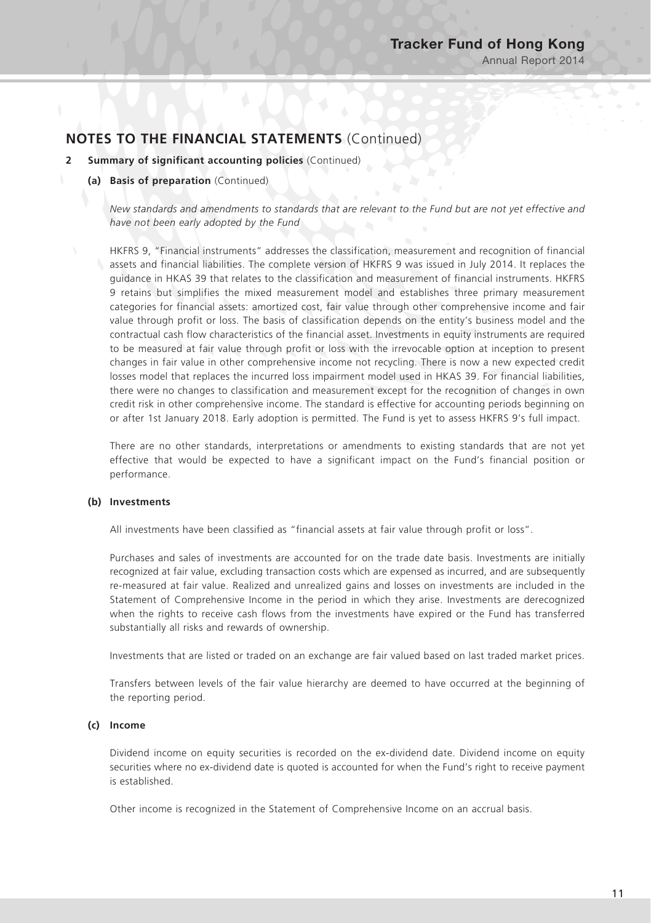- **2 Summary of significant accounting policies** (Continued)
	- **(a) Basis of preparation** (Continued)

*New standards and amendments to standards that are relevant to the Fund but are not yet effective and have not been early adopted by the Fund*

HKFRS 9, "Financial instruments" addresses the classification, measurement and recognition of financial assets and financial liabilities. The complete version of HKFRS 9 was issued in July 2014. It replaces the guidance in HKAS 39 that relates to the classification and measurement of financial instruments. HKFRS 9 retains but simplifies the mixed measurement model and establishes three primary measurement categories for financial assets: amortized cost, fair value through other comprehensive income and fair value through profit or loss. The basis of classification depends on the entity's business model and the contractual cash flow characteristics of the financial asset. Investments in equity instruments are required to be measured at fair value through profit or loss with the irrevocable option at inception to present changes in fair value in other comprehensive income not recycling. There is now a new expected credit losses model that replaces the incurred loss impairment model used in HKAS 39. For financial liabilities, there were no changes to classification and measurement except for the recognition of changes in own credit risk in other comprehensive income. The standard is effective for accounting periods beginning on or after 1st January 2018. Early adoption is permitted. The Fund is yet to assess HKFRS 9's full impact.

There are no other standards, interpretations or amendments to existing standards that are not yet effective that would be expected to have a significant impact on the Fund's financial position or performance.

#### **(b) Investments**

All investments have been classified as "financial assets at fair value through profit or loss".

Purchases and sales of investments are accounted for on the trade date basis. Investments are initially recognized at fair value, excluding transaction costs which are expensed as incurred, and are subsequently re-measured at fair value. Realized and unrealized gains and losses on investments are included in the Statement of Comprehensive Income in the period in which they arise. Investments are derecognized when the rights to receive cash flows from the investments have expired or the Fund has transferred substantially all risks and rewards of ownership.

Investments that are listed or traded on an exchange are fair valued based on last traded market prices.

Transfers between levels of the fair value hierarchy are deemed to have occurred at the beginning of the reporting period.

#### **(c) Income**

Dividend income on equity securities is recorded on the ex-dividend date. Dividend income on equity securities where no ex-dividend date is quoted is accounted for when the Fund's right to receive payment is established.

Other income is recognized in the Statement of Comprehensive Income on an accrual basis.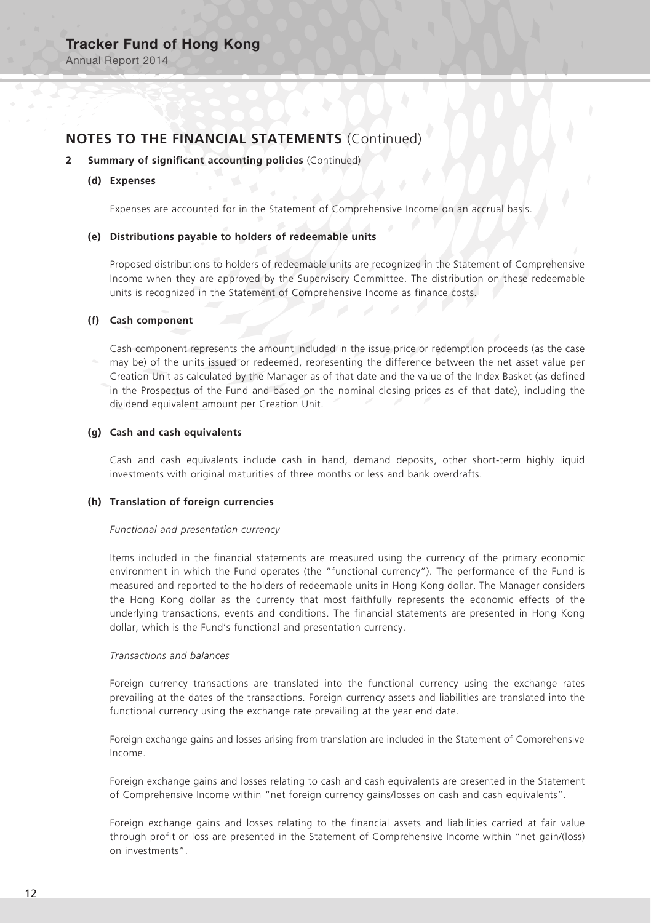Annual Report 2014

# **NOTES TO THE FINANCIAL STATEMENTS** (Continued)

#### **2 Summary of significant accounting policies** (Continued)

#### **(d) Expenses**

Expenses are accounted for in the Statement of Comprehensive Income on an accrual basis.

#### **(e) Distributions payable to holders of redeemable units**

Proposed distributions to holders of redeemable units are recognized in the Statement of Comprehensive Income when they are approved by the Supervisory Committee. The distribution on these redeemable units is recognized in the Statement of Comprehensive Income as finance costs.

#### **(f) Cash component**

Cash component represents the amount included in the issue price or redemption proceeds (as the case may be) of the units issued or redeemed, representing the difference between the net asset value per Creation Unit as calculated by the Manager as of that date and the value of the Index Basket (as defined in the Prospectus of the Fund and based on the nominal closing prices as of that date), including the dividend equivalent amount per Creation Unit.

#### **(g) Cash and cash equivalents**

Cash and cash equivalents include cash in hand, demand deposits, other short-term highly liquid investments with original maturities of three months or less and bank overdrafts.

#### **(h) Translation of foreign currencies**

#### *Functional and presentation currency*

Items included in the financial statements are measured using the currency of the primary economic environment in which the Fund operates (the "functional currency"). The performance of the Fund is measured and reported to the holders of redeemable units in Hong Kong dollar. The Manager considers the Hong Kong dollar as the currency that most faithfully represents the economic effects of the underlying transactions, events and conditions. The financial statements are presented in Hong Kong dollar, which is the Fund's functional and presentation currency.

#### *Transactions and balances*

Foreign currency transactions are translated into the functional currency using the exchange rates prevailing at the dates of the transactions. Foreign currency assets and liabilities are translated into the functional currency using the exchange rate prevailing at the year end date.

Foreign exchange gains and losses arising from translation are included in the Statement of Comprehensive Income.

Foreign exchange gains and losses relating to cash and cash equivalents are presented in the Statement of Comprehensive Income within "net foreign currency gains/losses on cash and cash equivalents".

Foreign exchange gains and losses relating to the financial assets and liabilities carried at fair value through profit or loss are presented in the Statement of Comprehensive Income within "net gain/(loss) on investments".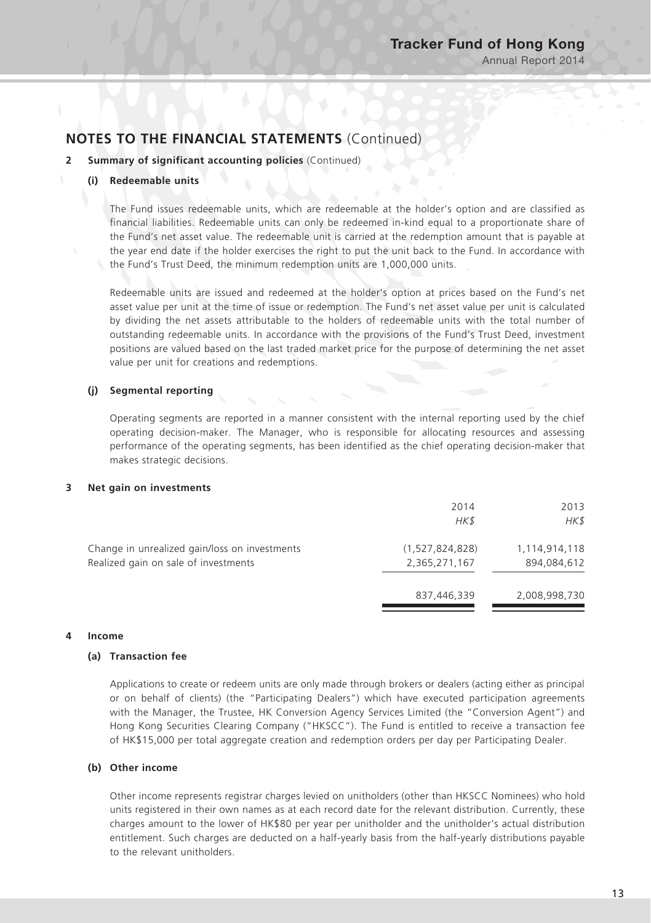#### **2 Summary of significant accounting policies** (Continued)

#### **(i) Redeemable units**

The Fund issues redeemable units, which are redeemable at the holder's option and are classified as financial liabilities. Redeemable units can only be redeemed in-kind equal to a proportionate share of the Fund's net asset value. The redeemable unit is carried at the redemption amount that is payable at the year end date if the holder exercises the right to put the unit back to the Fund. In accordance with the Fund's Trust Deed, the minimum redemption units are 1,000,000 units.

Redeemable units are issued and redeemed at the holder's option at prices based on the Fund's net asset value per unit at the time of issue or redemption. The Fund's net asset value per unit is calculated by dividing the net assets attributable to the holders of redeemable units with the total number of outstanding redeemable units. In accordance with the provisions of the Fund's Trust Deed, investment positions are valued based on the last traded market price for the purpose of determining the net asset value per unit for creations and redemptions.

#### **(j) Segmental reporting**

Operating segments are reported in a manner consistent with the internal reporting used by the chief operating decision-maker. The Manager, who is responsible for allocating resources and assessing performance of the operating segments, has been identified as the chief operating decision-maker that makes strategic decisions.

#### **3 Net gain on investments**

|                                                                                       | 2014<br>HK\$                     | 2013<br>HK\$                 |
|---------------------------------------------------------------------------------------|----------------------------------|------------------------------|
| Change in unrealized gain/loss on investments<br>Realized gain on sale of investments | (1,527,824,828)<br>2,365,271,167 | 1,114,914,118<br>894.084.612 |
|                                                                                       | 837,446,339                      | 2,008,998,730                |

#### **4 Income**

#### **(a) Transaction fee**

Applications to create or redeem units are only made through brokers or dealers (acting either as principal or on behalf of clients) (the "Participating Dealers") which have executed participation agreements with the Manager, the Trustee, HK Conversion Agency Services Limited (the "Conversion Agent") and Hong Kong Securities Clearing Company ("HKSCC"). The Fund is entitled to receive a transaction fee of HK\$15,000 per total aggregate creation and redemption orders per day per Participating Dealer.

#### **(b) Other income**

Other income represents registrar charges levied on unitholders (other than HKSCC Nominees) who hold units registered in their own names as at each record date for the relevant distribution. Currently, these charges amount to the lower of HK\$80 per year per unitholder and the unitholder's actual distribution entitlement. Such charges are deducted on a half-yearly basis from the half-yearly distributions payable to the relevant unitholders.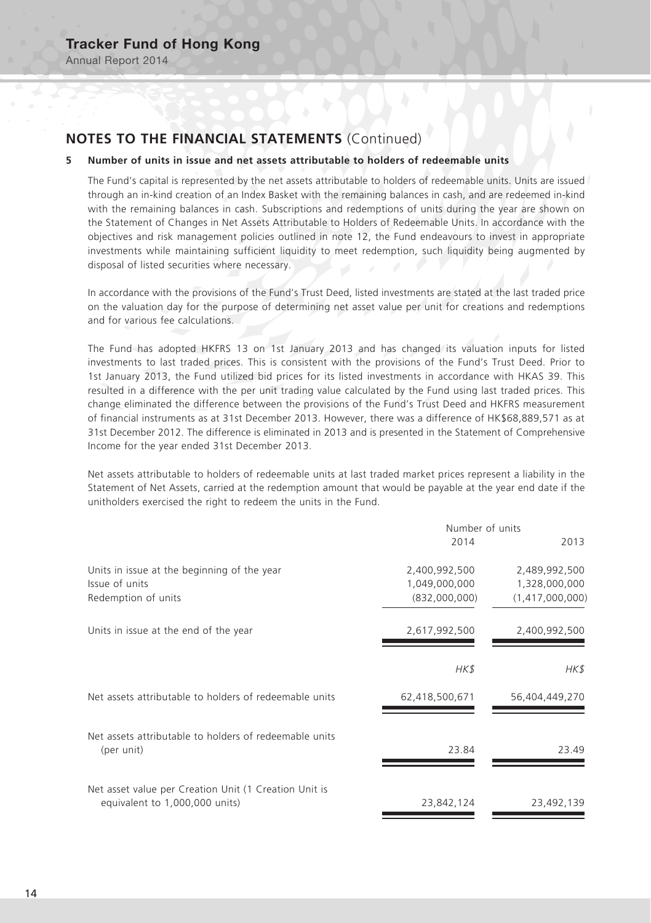#### **5 Number of units in issue and net assets attributable to holders of redeemable units**

The Fund's capital is represented by the net assets attributable to holders of redeemable units. Units are issued through an in-kind creation of an Index Basket with the remaining balances in cash, and are redeemed in-kind with the remaining balances in cash. Subscriptions and redemptions of units during the year are shown on the Statement of Changes in Net Assets Attributable to Holders of Redeemable Units. In accordance with the objectives and risk management policies outlined in note 12, the Fund endeavours to invest in appropriate investments while maintaining sufficient liquidity to meet redemption, such liquidity being augmented by disposal of listed securities where necessary.

In accordance with the provisions of the Fund's Trust Deed, listed investments are stated at the last traded price on the valuation day for the purpose of determining net asset value per unit for creations and redemptions and for various fee calculations.

The Fund has adopted HKFRS 13 on 1st January 2013 and has changed its valuation inputs for listed investments to last traded prices. This is consistent with the provisions of the Fund's Trust Deed. Prior to 1st January 2013, the Fund utilized bid prices for its listed investments in accordance with HKAS 39. This resulted in a difference with the per unit trading value calculated by the Fund using last traded prices. This change eliminated the difference between the provisions of the Fund's Trust Deed and HKFRS measurement of financial instruments as at 31st December 2013. However, there was a difference of HK\$68,889,571 as at 31st December 2012. The difference is eliminated in 2013 and is presented in the Statement of Comprehensive Income for the year ended 31st December 2013.

Net assets attributable to holders of redeemable units at last traded market prices represent a liability in the Statement of Net Assets, carried at the redemption amount that would be payable at the year end date if the unitholders exercised the right to redeem the units in the Fund.

|                                                                      | Number of units |                 |  |
|----------------------------------------------------------------------|-----------------|-----------------|--|
|                                                                      | 2014            | 2013            |  |
| Units in issue at the beginning of the year                          | 2,400,992,500   | 2,489,992,500   |  |
| Issue of units                                                       | 1,049,000,000   | 1,328,000,000   |  |
| Redemption of units                                                  | (832,000,000)   | (1,417,000,000) |  |
| Units in issue at the end of the year                                | 2,617,992,500   | 2,400,992,500   |  |
|                                                                      | HK\$            | HK\$            |  |
| Net assets attributable to holders of redeemable units               | 62,418,500,671  | 56,404,449,270  |  |
| Net assets attributable to holders of redeemable units<br>(per unit) | 23.84           | 23.49           |  |
|                                                                      |                 |                 |  |
| Net asset value per Creation Unit (1 Creation Unit is                |                 |                 |  |
| equivalent to 1,000,000 units)                                       | 23,842,124      | 23,492,139      |  |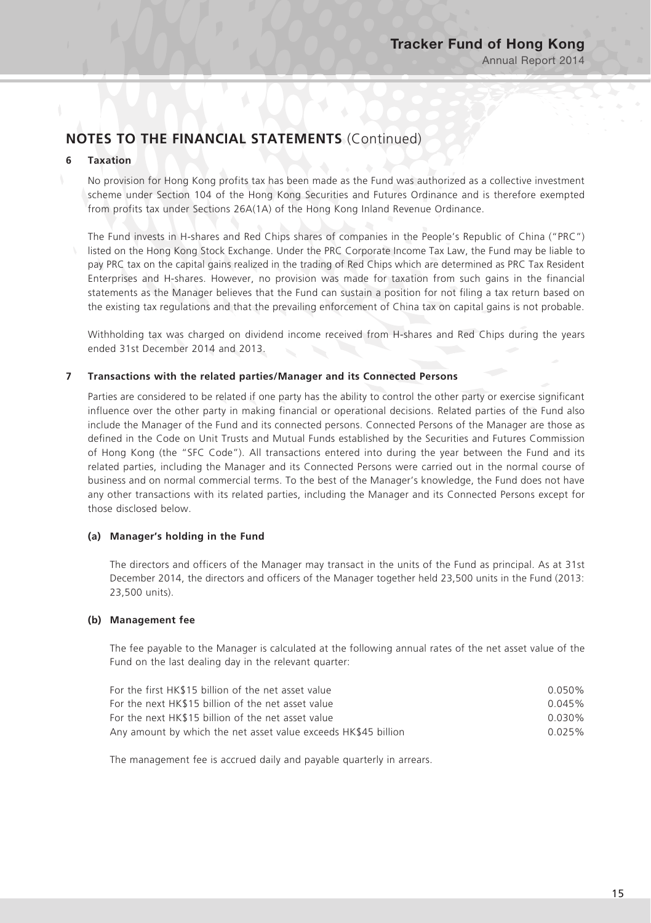#### **6 Taxation**

No provision for Hong Kong profits tax has been made as the Fund was authorized as a collective investment scheme under Section 104 of the Hong Kong Securities and Futures Ordinance and is therefore exempted from profits tax under Sections 26A(1A) of the Hong Kong Inland Revenue Ordinance.

The Fund invests in H-shares and Red Chips shares of companies in the People's Republic of China ("PRC") listed on the Hong Kong Stock Exchange. Under the PRC Corporate Income Tax Law, the Fund may be liable to pay PRC tax on the capital gains realized in the trading of Red Chips which are determined as PRC Tax Resident Enterprises and H-shares. However, no provision was made for taxation from such gains in the financial statements as the Manager believes that the Fund can sustain a position for not filing a tax return based on the existing tax regulations and that the prevailing enforcement of China tax on capital gains is not probable.

Withholding tax was charged on dividend income received from H-shares and Red Chips during the years ended 31st December 2014 and 2013.

#### **7 Transactions with the related parties/Manager and its Connected Persons**

Parties are considered to be related if one party has the ability to control the other party or exercise significant influence over the other party in making financial or operational decisions. Related parties of the Fund also include the Manager of the Fund and its connected persons. Connected Persons of the Manager are those as defined in the Code on Unit Trusts and Mutual Funds established by the Securities and Futures Commission of Hong Kong (the "SFC Code"). All transactions entered into during the year between the Fund and its related parties, including the Manager and its Connected Persons were carried out in the normal course of business and on normal commercial terms. To the best of the Manager's knowledge, the Fund does not have any other transactions with its related parties, including the Manager and its Connected Persons except for those disclosed below.

#### **(a) Manager's holding in the Fund**

The directors and officers of the Manager may transact in the units of the Fund as principal. As at 31st December 2014, the directors and officers of the Manager together held 23,500 units in the Fund (2013: 23,500 units).

#### **(b) Management fee**

The fee payable to the Manager is calculated at the following annual rates of the net asset value of the Fund on the last dealing day in the relevant quarter:

| For the first HK\$15 billion of the net asset value            | $0.050\%$ |
|----------------------------------------------------------------|-----------|
| For the next HK\$15 billion of the net asset value             | $0.045\%$ |
| For the next HK\$15 billion of the net asset value             | $0.030\%$ |
| Any amount by which the net asset value exceeds HK\$45 billion | 0.025%    |

The management fee is accrued daily and payable quarterly in arrears.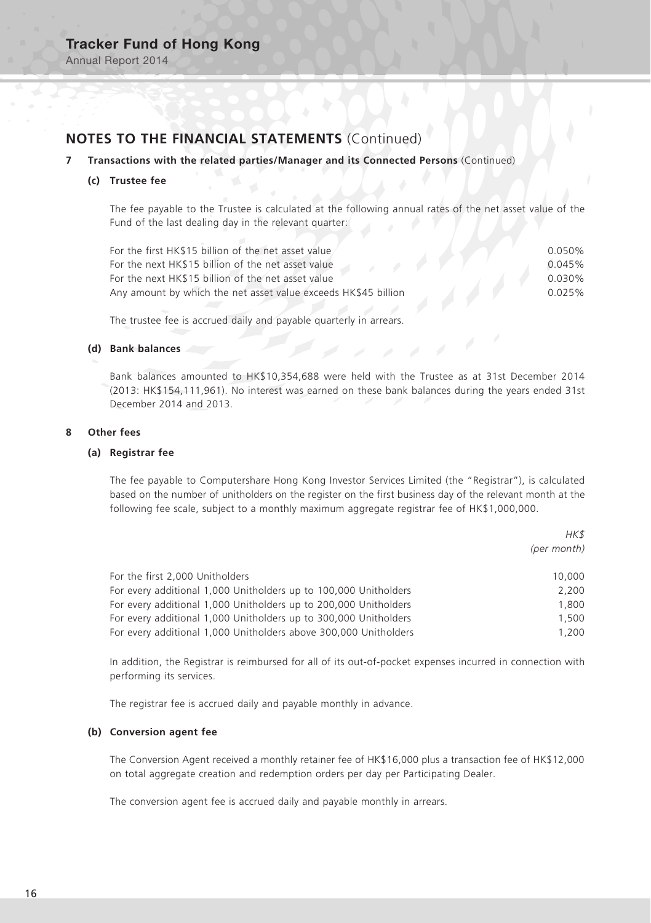Annual Report 2014

# **NOTES TO THE FINANCIAL STATEMENTS** (Continued)

#### **7 Transactions with the related parties/Manager and its Connected Persons** (Continued)

#### **(c) Trustee fee**

The fee payable to the Trustee is calculated at the following annual rates of the net asset value of the Fund of the last dealing day in the relevant quarter:

| For the first HK\$15 billion of the net asset value            | $0.050\%$ |
|----------------------------------------------------------------|-----------|
| For the next HK\$15 billion of the net asset value             | 0.045%    |
| For the next HK\$15 billion of the net asset value             | $0.030\%$ |
| Any amount by which the net asset value exceeds HK\$45 billion | 0.025%    |
|                                                                |           |

The trustee fee is accrued daily and payable quarterly in arrears.

#### **(d) Bank balances**

Bank balances amounted to HK\$10,354,688 were held with the Trustee as at 31st December 2014 (2013: HK\$154,111,961). No interest was earned on these bank balances during the years ended 31st December 2014 and 2013.

#### **8 Other fees**

#### **(a) Registrar fee**

The fee payable to Computershare Hong Kong Investor Services Limited (the "Registrar"), is calculated based on the number of unitholders on the register on the first business day of the relevant month at the following fee scale, subject to a monthly maximum aggregate registrar fee of HK\$1,000,000.

 $H$ 

|                                                                  | $111 \lambda D$<br>(per month) |
|------------------------------------------------------------------|--------------------------------|
| For the first 2,000 Unitholders                                  | 10,000                         |
| For every additional 1,000 Unitholders up to 100,000 Unitholders | 2.200                          |
| For every additional 1,000 Unitholders up to 200,000 Unitholders | 1,800                          |
| For every additional 1,000 Unitholders up to 300,000 Unitholders | 1,500                          |
| For every additional 1,000 Unitholders above 300,000 Unitholders | 1.200                          |

In addition, the Registrar is reimbursed for all of its out-of-pocket expenses incurred in connection with performing its services.

The registrar fee is accrued daily and payable monthly in advance.

#### **(b) Conversion agent fee**

The Conversion Agent received a monthly retainer fee of HK\$16,000 plus a transaction fee of HK\$12,000 on total aggregate creation and redemption orders per day per Participating Dealer.

The conversion agent fee is accrued daily and payable monthly in arrears.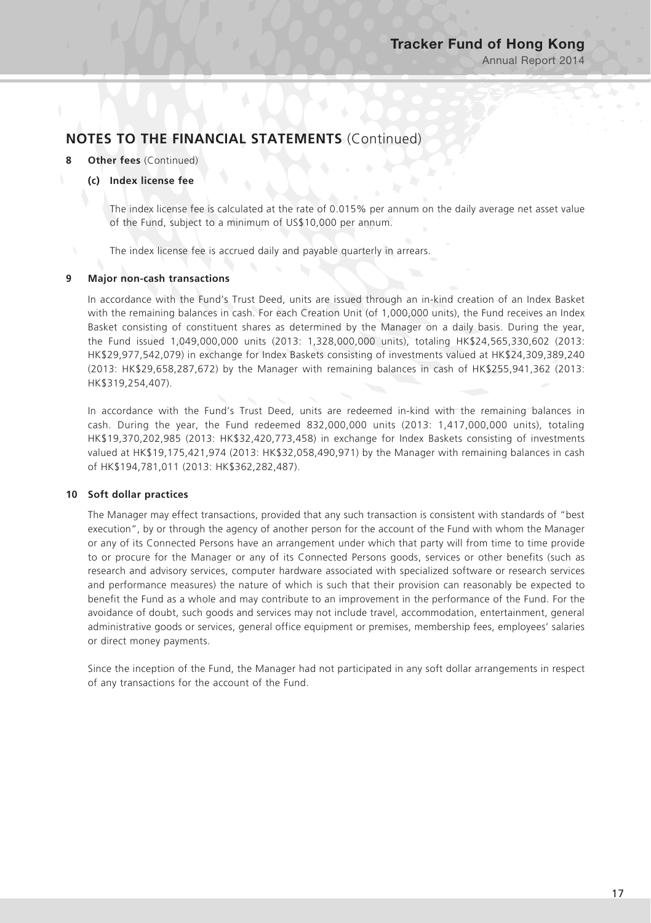#### **8 Other fees** (Continued)

#### **(c) Index license fee**

The index license fee is calculated at the rate of 0.015% per annum on the daily average net asset value of the Fund, subject to a minimum of US\$10,000 per annum.

The index license fee is accrued daily and payable quarterly in arrears.

#### **9 Major non-cash transactions**

In accordance with the Fund's Trust Deed, units are issued through an in-kind creation of an Index Basket with the remaining balances in cash. For each Creation Unit (of 1,000,000 units), the Fund receives an Index Basket consisting of constituent shares as determined by the Manager on a daily basis. During the year, the Fund issued 1,049,000,000 units (2013: 1,328,000,000 units), totaling HK\$24,565,330,602 (2013: HK\$29,977,542,079) in exchange for Index Baskets consisting of investments valued at HK\$24,309,389,240 (2013: HK\$29,658,287,672) by the Manager with remaining balances in cash of HK\$255,941,362 (2013: HK\$319,254,407).

In accordance with the Fund's Trust Deed, units are redeemed in-kind with the remaining balances in cash. During the year, the Fund redeemed 832,000,000 units (2013: 1,417,000,000 units), totaling HK\$19,370,202,985 (2013: HK\$32,420,773,458) in exchange for Index Baskets consisting of investments valued at HK\$19,175,421,974 (2013: HK\$32,058,490,971) by the Manager with remaining balances in cash of HK\$194,781,011 (2013: HK\$362,282,487).

#### **10 Soft dollar practices**

The Manager may effect transactions, provided that any such transaction is consistent with standards of "best execution", by or through the agency of another person for the account of the Fund with whom the Manager or any of its Connected Persons have an arrangement under which that party will from time to time provide to or procure for the Manager or any of its Connected Persons goods, services or other benefits (such as research and advisory services, computer hardware associated with specialized software or research services and performance measures) the nature of which is such that their provision can reasonably be expected to benefit the Fund as a whole and may contribute to an improvement in the performance of the Fund. For the avoidance of doubt, such goods and services may not include travel, accommodation, entertainment, general administrative goods or services, general office equipment or premises, membership fees, employees' salaries or direct money payments.

Since the inception of the Fund, the Manager had not participated in any soft dollar arrangements in respect of any transactions for the account of the Fund.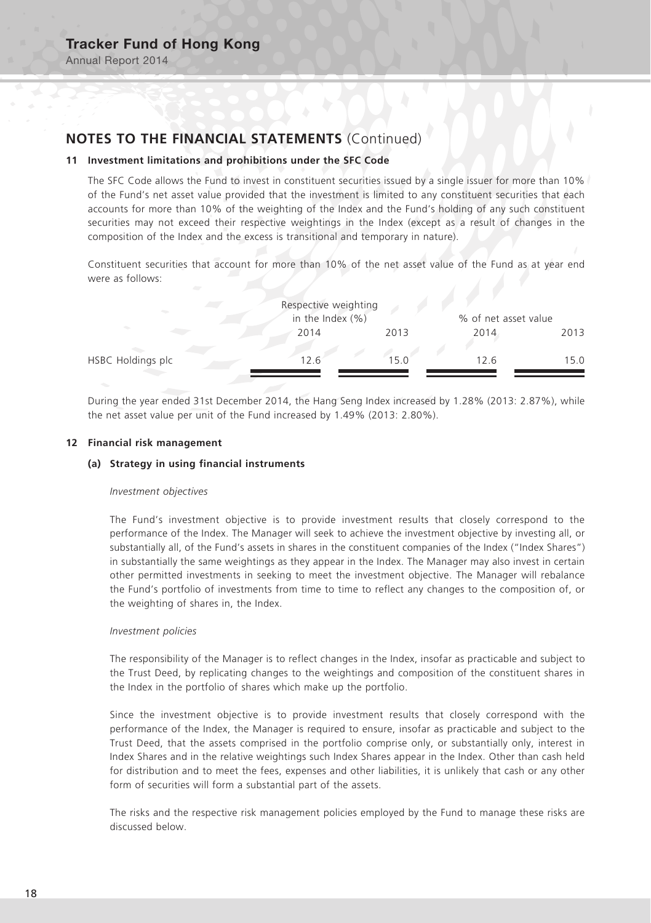Annual Report 2014

# **NOTES TO THE FINANCIAL STATEMENTS** (Continued)

#### **11 Investment limitations and prohibitions under the SFC Code**

The SFC Code allows the Fund to invest in constituent securities issued by a single issuer for more than 10% of the Fund's net asset value provided that the investment is limited to any constituent securities that each accounts for more than 10% of the weighting of the Index and the Fund's holding of any such constituent securities may not exceed their respective weightings in the Index (except as a result of changes in the composition of the Index and the excess is transitional and temporary in nature).

Constituent securities that account for more than 10% of the net asset value of the Fund as at year end were as follows:

|                   | Respective weighting<br>in the Index $(% )$ |      | % of net asset value |      |
|-------------------|---------------------------------------------|------|----------------------|------|
|                   | 2014                                        | 2013 | 2014                 | 2013 |
| HSBC Holdings plc | 12.6                                        | 15.0 | 12.6                 | 15.0 |

During the year ended 31st December 2014, the Hang Seng Index increased by 1.28% (2013: 2.87%), while the net asset value per unit of the Fund increased by 1.49% (2013: 2.80%).

#### **12 Financial risk management**

#### **(a) Strategy in using financial instruments**

#### *Investment objectives*

The Fund's investment objective is to provide investment results that closely correspond to the performance of the Index. The Manager will seek to achieve the investment objective by investing all, or substantially all, of the Fund's assets in shares in the constituent companies of the Index ("Index Shares") in substantially the same weightings as they appear in the Index. The Manager may also invest in certain other permitted investments in seeking to meet the investment objective. The Manager will rebalance the Fund's portfolio of investments from time to time to reflect any changes to the composition of, or the weighting of shares in, the Index.

#### *Investment policies*

The responsibility of the Manager is to reflect changes in the Index, insofar as practicable and subject to the Trust Deed, by replicating changes to the weightings and composition of the constituent shares in the Index in the portfolio of shares which make up the portfolio.

Since the investment objective is to provide investment results that closely correspond with the performance of the Index, the Manager is required to ensure, insofar as practicable and subject to the Trust Deed, that the assets comprised in the portfolio comprise only, or substantially only, interest in Index Shares and in the relative weightings such Index Shares appear in the Index. Other than cash held for distribution and to meet the fees, expenses and other liabilities, it is unlikely that cash or any other form of securities will form a substantial part of the assets.

The risks and the respective risk management policies employed by the Fund to manage these risks are discussed below.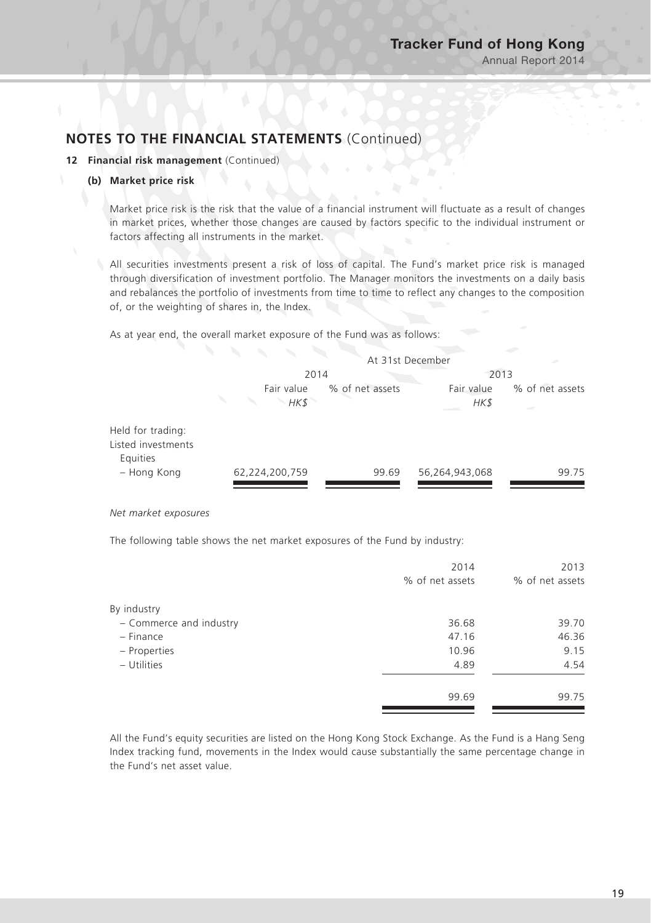#### **12 Financial risk management** (Continued)

#### **(b) Market price risk**

Market price risk is the risk that the value of a financial instrument will fluctuate as a result of changes in market prices, whether those changes are caused by factors specific to the individual instrument or factors affecting all instruments in the market.

All securities investments present a risk of loss of capital. The Fund's market price risk is managed through diversification of investment portfolio. The Manager monitors the investments on a daily basis and rebalances the portfolio of investments from time to time to reflect any changes to the composition of, or the weighting of shares in, the Index.

As at year end, the overall market exposure of the Fund was as follows:

|                                                     | At 31st December   |                 |                    |                           |
|-----------------------------------------------------|--------------------|-----------------|--------------------|---------------------------|
|                                                     | 2014               |                 | 2013               |                           |
|                                                     | Fair value<br>HK\$ | % of net assets | Fair value<br>HK\$ | % of net assets<br>$\sim$ |
| Held for trading:<br>Listed investments<br>Equities |                    |                 |                    |                           |
| - Hong Kong                                         | 62,224,200,759     | 99.69           | 56,264,943,068     | 99.75                     |

*Net market exposures*

The following table shows the net market exposures of the Fund by industry:

| 2014            | 2013            |
|-----------------|-----------------|
| % of net assets | % of net assets |
|                 |                 |
| 36.68           | 39.70           |
| 47.16           | 46.36           |
| 10.96           | 9.15            |
| 4.89            | 4.54            |
| 99.69           | 99.75           |
|                 |                 |

All the Fund's equity securities are listed on the Hong Kong Stock Exchange. As the Fund is a Hang Seng Index tracking fund, movements in the Index would cause substantially the same percentage change in the Fund's net asset value.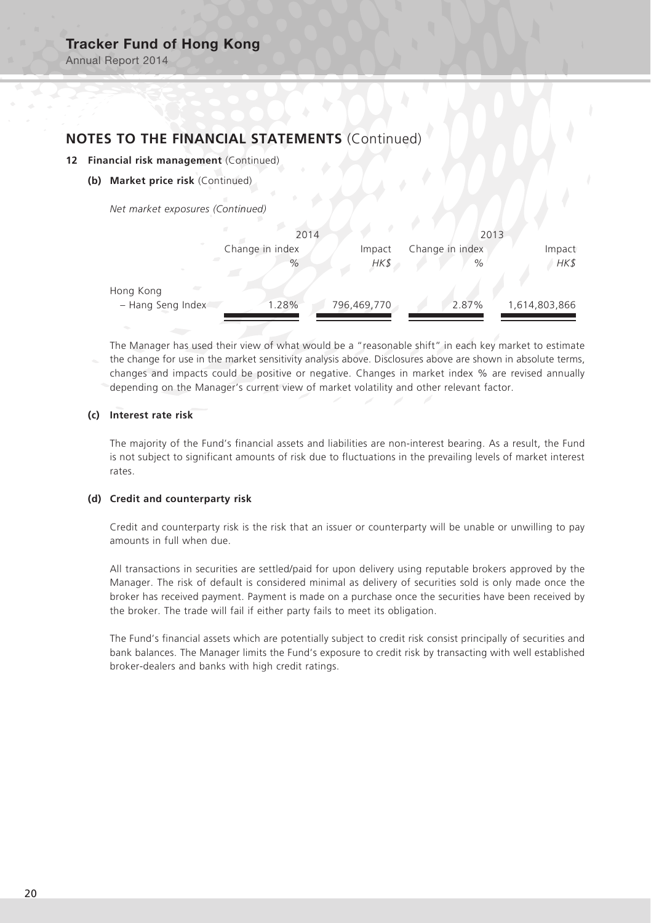Annual Report 2014

### **NOTES TO THE FINANCIAL STATEMENTS** (Continued)

- **12 Financial risk management** (Continued)
	- **(b) Market price risk** (Continued)

*Net market exposures (Continued)*

|                                              | 2014            |             | 2013            |               |  |
|----------------------------------------------|-----------------|-------------|-----------------|---------------|--|
|                                              | Change in index | Impact      | Change in index | Impact        |  |
| $\sim$                                       | $\%$            | HK\$        | $\%$            | HK\$          |  |
| $\sqrt{2}$<br>Hong Kong<br>- Hang Seng Index | 1.28%           | 796,469,770 | 2.87%           | 1,614,803,866 |  |
|                                              |                 |             |                 |               |  |

The Manager has used their view of what would be a "reasonable shift" in each key market to estimate the change for use in the market sensitivity analysis above. Disclosures above are shown in absolute terms, changes and impacts could be positive or negative. Changes in market index % are revised annually depending on the Manager's current view of market volatility and other relevant factor.

#### **(c) Interest rate risk**

The majority of the Fund's financial assets and liabilities are non-interest bearing. As a result, the Fund is not subject to significant amounts of risk due to fluctuations in the prevailing levels of market interest rates.

#### **(d) Credit and counterparty risk**

Credit and counterparty risk is the risk that an issuer or counterparty will be unable or unwilling to pay amounts in full when due.

All transactions in securities are settled/paid for upon delivery using reputable brokers approved by the Manager. The risk of default is considered minimal as delivery of securities sold is only made once the broker has received payment. Payment is made on a purchase once the securities have been received by the broker. The trade will fail if either party fails to meet its obligation.

The Fund's financial assets which are potentially subject to credit risk consist principally of securities and bank balances. The Manager limits the Fund's exposure to credit risk by transacting with well established broker-dealers and banks with high credit ratings.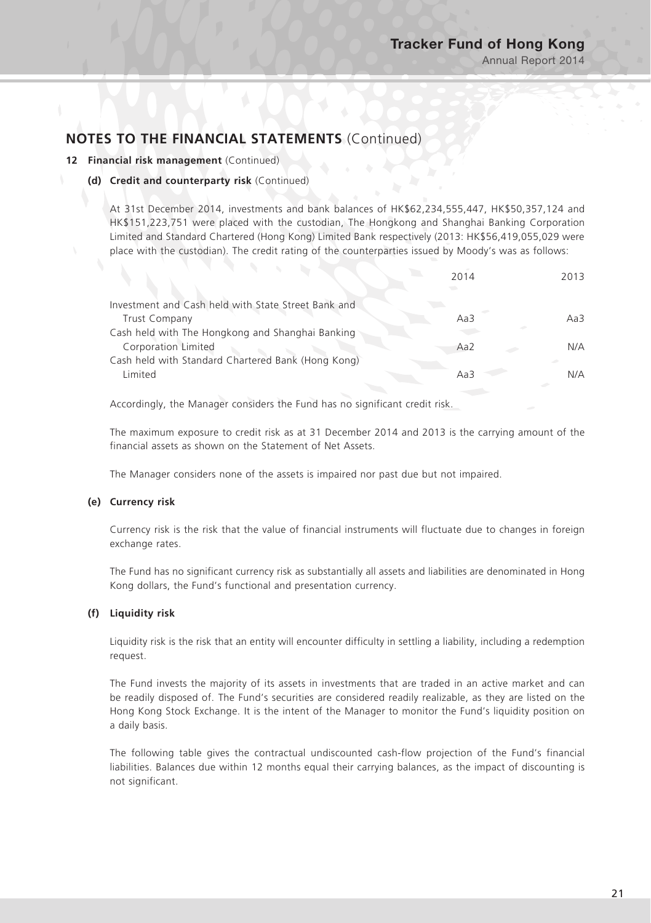#### **12 Financial risk management** (Continued)

#### **(d) Credit and counterparty risk** (Continued)

At 31st December 2014, investments and bank balances of HK\$62,234,555,447, HK\$50,357,124 and HK\$151,223,751 were placed with the custodian, The Hongkong and Shanghai Banking Corporation Limited and Standard Chartered (Hong Kong) Limited Bank respectively (2013: HK\$56,419,055,029 were place with the custodian). The credit rating of the counterparties issued by Moody's was as follows:

|                                                     | 2014            | 2013 |
|-----------------------------------------------------|-----------------|------|
| Investment and Cash held with State Street Bank and |                 |      |
| <b>Trust Company</b>                                | Aa3             | Aa3  |
| Cash held with The Hongkong and Shanghai Banking    |                 |      |
| Corporation Limited                                 | Aa <sub>2</sub> | N/A  |
| Cash held with Standard Chartered Bank (Hong Kong)  |                 |      |
| Limited                                             | Aa3             | N/A  |
|                                                     |                 |      |

Accordingly, the Manager considers the Fund has no significant credit risk.

The maximum exposure to credit risk as at 31 December 2014 and 2013 is the carrying amount of the financial assets as shown on the Statement of Net Assets.

The Manager considers none of the assets is impaired nor past due but not impaired.

#### **(e) Currency risk**

Currency risk is the risk that the value of financial instruments will fluctuate due to changes in foreign exchange rates.

The Fund has no significant currency risk as substantially all assets and liabilities are denominated in Hong Kong dollars, the Fund's functional and presentation currency.

#### **(f) Liquidity risk**

Liquidity risk is the risk that an entity will encounter difficulty in settling a liability, including a redemption request.

The Fund invests the majority of its assets in investments that are traded in an active market and can be readily disposed of. The Fund's securities are considered readily realizable, as they are listed on the Hong Kong Stock Exchange. It is the intent of the Manager to monitor the Fund's liquidity position on a daily basis.

The following table gives the contractual undiscounted cash-flow projection of the Fund's financial liabilities. Balances due within 12 months equal their carrying balances, as the impact of discounting is not significant.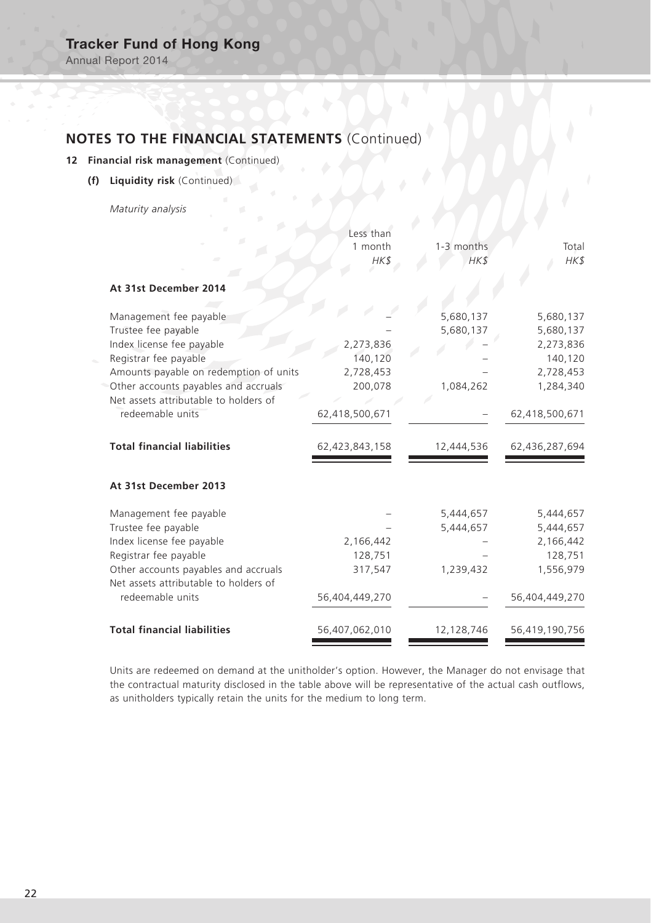Annual Report 2014

# **NOTES TO THE FINANCIAL STATEMENTS** (Continued)

### **12 Financial risk management** (Continued)

**(f) Liquidity risk** (Continued)

*Maturity analysis*

|                                                                               | Less than<br>1 month | 1-3 months | Total          |
|-------------------------------------------------------------------------------|----------------------|------------|----------------|
|                                                                               | HK\$                 | HK\$       | HK\$           |
| At 31st December 2014                                                         |                      |            |                |
| Management fee payable                                                        |                      | 5,680,137  | 5,680,137      |
| Trustee fee payable                                                           |                      | 5,680,137  | 5,680,137      |
| Index license fee payable                                                     | 2,273,836            |            | 2,273,836      |
| Registrar fee payable                                                         | 140,120              |            | 140,120        |
| Amounts payable on redemption of units                                        | 2,728,453            |            | 2,728,453      |
| Other accounts payables and accruals                                          | 200,078              | 1,084,262  | 1,284,340      |
| Net assets attributable to holders of                                         |                      |            |                |
| redeemable units                                                              | 62,418,500,671       |            | 62,418,500,671 |
| <b>Total financial liabilities</b>                                            | 62,423,843,158       | 12,444,536 | 62,436,287,694 |
| At 31st December 2013                                                         |                      |            |                |
| Management fee payable                                                        |                      | 5,444,657  | 5,444,657      |
| Trustee fee payable                                                           |                      | 5,444,657  | 5,444,657      |
| Index license fee payable                                                     | 2,166,442            |            | 2,166,442      |
| Registrar fee payable                                                         | 128,751              |            | 128,751        |
| Other accounts payables and accruals<br>Net assets attributable to holders of | 317,547              | 1,239,432  | 1,556,979      |
| redeemable units                                                              | 56,404,449,270       |            | 56,404,449,270 |
| <b>Total financial liabilities</b>                                            | 56,407,062,010       | 12,128,746 | 56,419,190,756 |

Units are redeemed on demand at the unitholder's option. However, the Manager do not envisage that the contractual maturity disclosed in the table above will be representative of the actual cash outflows, as unitholders typically retain the units for the medium to long term.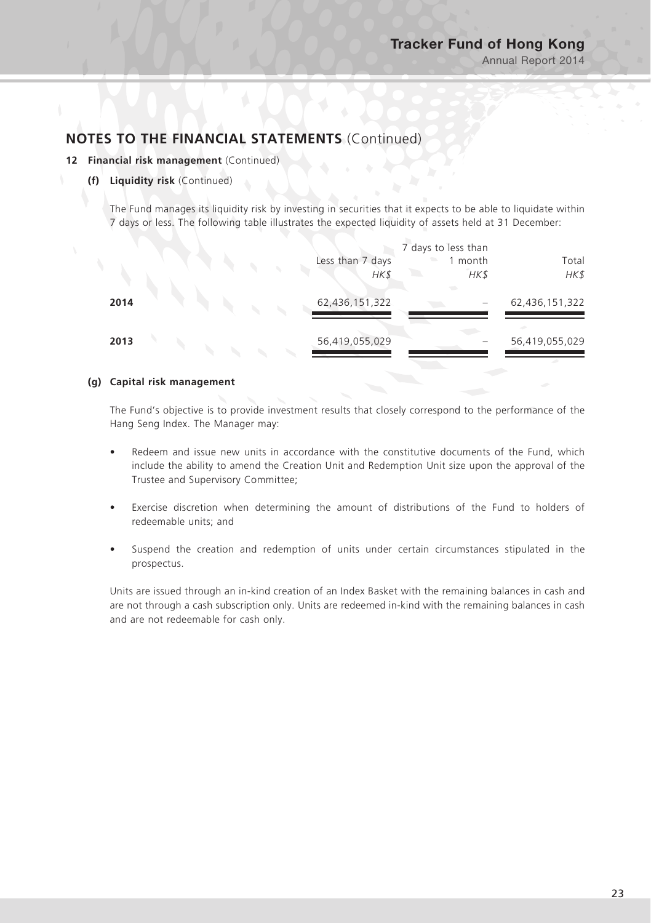#### **12 Financial risk management** (Continued)

#### **(f) Liquidity risk** (Continued)

The Fund manages its liquidity risk by investing in securities that it expects to be able to liquidate within 7 days or less. The following table illustrates the expected liquidity of assets held at 31 December:

|      |  |  |                  | 7 days to less than |                |
|------|--|--|------------------|---------------------|----------------|
|      |  |  | Less than 7 days | 1 month             | Total          |
|      |  |  | HK\$             | HK\$                | HK\$           |
| 2014 |  |  | 62,436,151,322   |                     | 62,436,151,322 |
|      |  |  |                  |                     |                |
| 2013 |  |  | 56,419,055,029   |                     | 56,419,055,029 |
|      |  |  |                  |                     |                |

#### **(g) Capital risk management**

The Fund's objective is to provide investment results that closely correspond to the performance of the Hang Seng Index. The Manager may:

- Redeem and issue new units in accordance with the constitutive documents of the Fund, which include the ability to amend the Creation Unit and Redemption Unit size upon the approval of the Trustee and Supervisory Committee;
- Exercise discretion when determining the amount of distributions of the Fund to holders of redeemable units; and
- Suspend the creation and redemption of units under certain circumstances stipulated in the prospectus.

Units are issued through an in-kind creation of an Index Basket with the remaining balances in cash and are not through a cash subscription only. Units are redeemed in-kind with the remaining balances in cash and are not redeemable for cash only.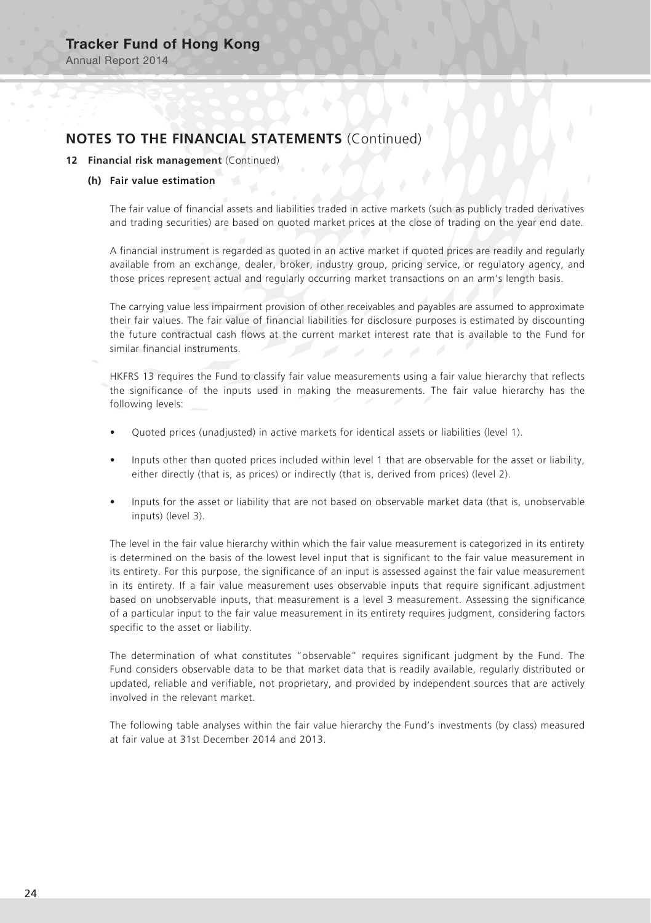Annual Report 2014

# **NOTES TO THE FINANCIAL STATEMENTS** (Continued)

#### **12 Financial risk management** (Continued)

#### **(h) Fair value estimation**

The fair value of financial assets and liabilities traded in active markets (such as publicly traded derivatives and trading securities) are based on quoted market prices at the close of trading on the year end date.

A financial instrument is regarded as quoted in an active market if quoted prices are readily and regularly available from an exchange, dealer, broker, industry group, pricing service, or regulatory agency, and those prices represent actual and regularly occurring market transactions on an arm's length basis.

The carrying value less impairment provision of other receivables and payables are assumed to approximate their fair values. The fair value of financial liabilities for disclosure purposes is estimated by discounting the future contractual cash flows at the current market interest rate that is available to the Fund for similar financial instruments. similar financial instruments.

HKFRS 13 requires the Fund to classify fair value measurements using a fair value hierarchy that reflects the significance of the inputs used in making the measurements. The fair value hierarchy has the following levels:

- Quoted prices (unadjusted) in active markets for identical assets or liabilities (level 1).
- Inputs other than quoted prices included within level 1 that are observable for the asset or liability, either directly (that is, as prices) or indirectly (that is, derived from prices) (level 2).
- Inputs for the asset or liability that are not based on observable market data (that is, unobservable inputs) (level 3).

The level in the fair value hierarchy within which the fair value measurement is categorized in its entirety is determined on the basis of the lowest level input that is significant to the fair value measurement in its entirety. For this purpose, the significance of an input is assessed against the fair value measurement in its entirety. If a fair value measurement uses observable inputs that require significant adjustment based on unobservable inputs, that measurement is a level 3 measurement. Assessing the significance of a particular input to the fair value measurement in its entirety requires judgment, considering factors specific to the asset or liability.

The determination of what constitutes "observable" requires significant judgment by the Fund. The Fund considers observable data to be that market data that is readily available, regularly distributed or updated, reliable and verifiable, not proprietary, and provided by independent sources that are actively involved in the relevant market.

The following table analyses within the fair value hierarchy the Fund's investments (by class) measured at fair value at 31st December 2014 and 2013.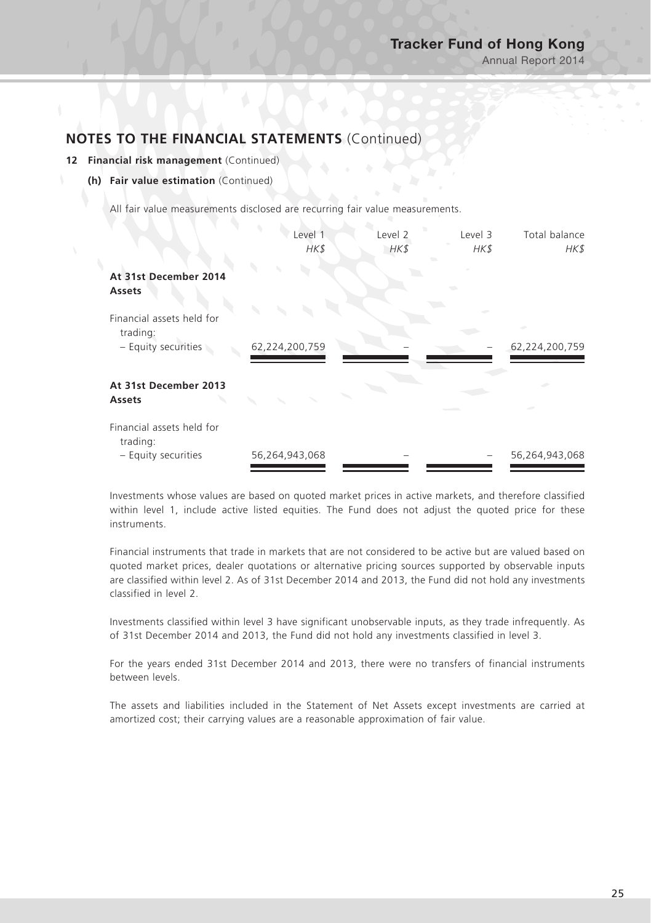#### **12 Financial risk management** (Continued)

#### **(h) Fair value estimation** (Continued)

All fair value measurements disclosed are recurring fair value measurements.

|                                                              | Level 1<br>HK\$ | Level 2<br>$H K$ \$ | Level 3<br>HK\$ | Total balance<br>HK\$ |
|--------------------------------------------------------------|-----------------|---------------------|-----------------|-----------------------|
| At 31st December 2014<br>Assets                              |                 |                     |                 |                       |
| Financial assets held for<br>trading:                        |                 |                     |                 |                       |
| - Equity securities                                          | 62,224,200,759  |                     |                 | 62,224,200,759        |
| At 31st December 2013<br>Assets                              |                 |                     |                 |                       |
| Financial assets held for<br>trading:<br>- Equity securities | 56,264,943,068  |                     |                 | 56,264,943,068        |

Investments whose values are based on quoted market prices in active markets, and therefore classified within level 1, include active listed equities. The Fund does not adjust the quoted price for these instruments.

Financial instruments that trade in markets that are not considered to be active but are valued based on quoted market prices, dealer quotations or alternative pricing sources supported by observable inputs are classified within level 2. As of 31st December 2014 and 2013, the Fund did not hold any investments classified in level 2.

Investments classified within level 3 have significant unobservable inputs, as they trade infrequently. As of 31st December 2014 and 2013, the Fund did not hold any investments classified in level 3.

For the years ended 31st December 2014 and 2013, there were no transfers of financial instruments between levels.

The assets and liabilities included in the Statement of Net Assets except investments are carried at amortized cost; their carrying values are a reasonable approximation of fair value.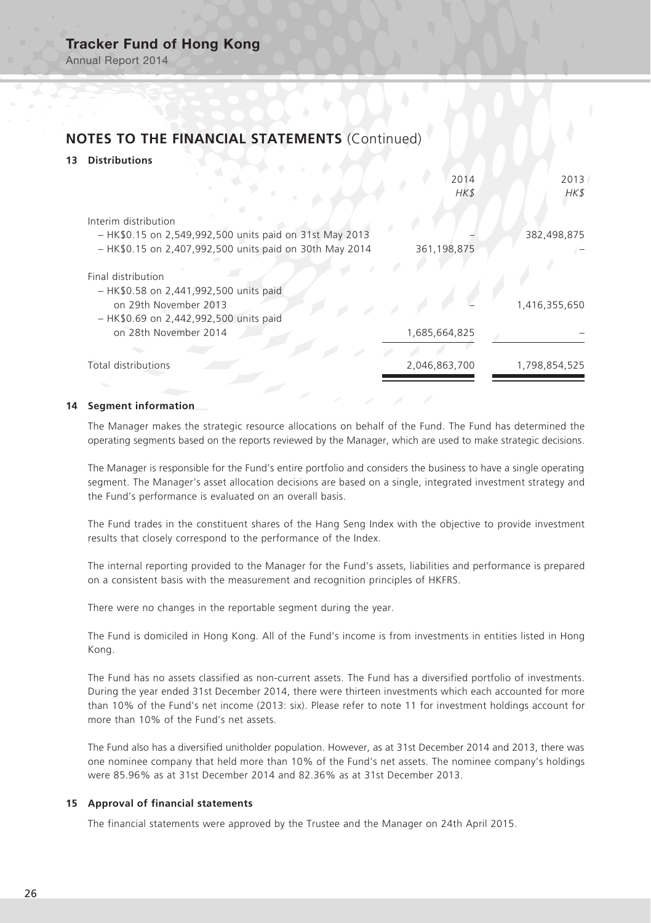Annual Report 2014

# **NOTES TO THE FINANCIAL STATEMENTS** (Continued)

### **13 Distributions**

|                                                                                                                                 | 2014<br>HK\$  | 2013<br>HK\$  |
|---------------------------------------------------------------------------------------------------------------------------------|---------------|---------------|
| Interim distribution                                                                                                            |               |               |
| - HK\$0.15 on 2,549,992,500 units paid on 31st May 2013                                                                         |               | 382,498,875   |
| - HK\$0.15 on 2,407,992,500 units paid on 30th May 2014                                                                         | 361,198,875   |               |
| Final distribution<br>- HK\$0.58 on 2,441,992,500 units paid<br>on 29th November 2013<br>- HK\$0.69 on 2,442,992,500 units paid |               | 1,416,355,650 |
| on 28th November 2014                                                                                                           | 1,685,664,825 |               |
|                                                                                                                                 |               |               |
| <b>Total distributions</b>                                                                                                      | 2,046,863,700 | 1,798,854,525 |
|                                                                                                                                 |               |               |

#### **14 Segment information**

The Manager makes the strategic resource allocations on behalf of the Fund. The Fund has determined the operating segments based on the reports reviewed by the Manager, which are used to make strategic decisions.

The Manager is responsible for the Fund's entire portfolio and considers the business to have a single operating segment. The Manager's asset allocation decisions are based on a single, integrated investment strategy and the Fund's performance is evaluated on an overall basis.

The Fund trades in the constituent shares of the Hang Seng Index with the objective to provide investment results that closely correspond to the performance of the Index.

The internal reporting provided to the Manager for the Fund's assets, liabilities and performance is prepared on a consistent basis with the measurement and recognition principles of HKFRS.

There were no changes in the reportable segment during the year.

The Fund is domiciled in Hong Kong. All of the Fund's income is from investments in entities listed in Hong Kong.

The Fund has no assets classified as non-current assets. The Fund has a diversified portfolio of investments. During the year ended 31st December 2014, there were thirteen investments which each accounted for more than 10% of the Fund's net income (2013: six). Please refer to note 11 for investment holdings account for more than 10% of the Fund's net assets.

The Fund also has a diversified unitholder population. However, as at 31st December 2014 and 2013, there was one nominee company that held more than 10% of the Fund's net assets. The nominee company's holdings were 85.96% as at 31st December 2014 and 82.36% as at 31st December 2013.

#### **15 Approval of financial statements**

The financial statements were approved by the Trustee and the Manager on 24th April 2015.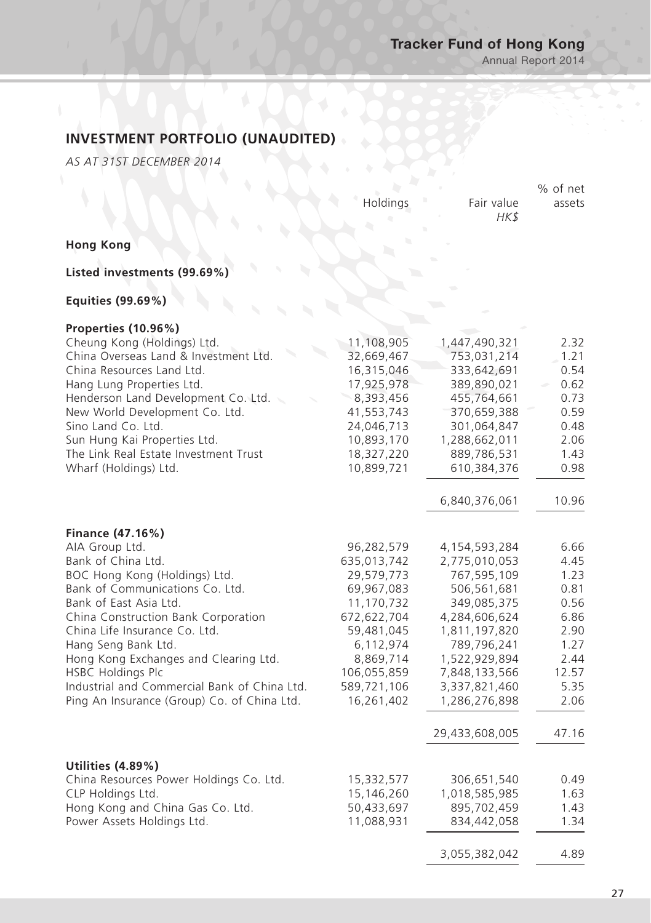Annual Report 2014

# **INVESTMENT PORTFOLIO (UNAUDITED)**

*AS AT 31ST DECEMBER 2014*

|                                                                                                                                                                                                                                                                                                                                                                                                                           | Holdings                                                                                                                                                               | Fair value<br>HK\$                                                                                                                                                                                                 | % of net<br>assets                                                                                     |
|---------------------------------------------------------------------------------------------------------------------------------------------------------------------------------------------------------------------------------------------------------------------------------------------------------------------------------------------------------------------------------------------------------------------------|------------------------------------------------------------------------------------------------------------------------------------------------------------------------|--------------------------------------------------------------------------------------------------------------------------------------------------------------------------------------------------------------------|--------------------------------------------------------------------------------------------------------|
| <b>Hong Kong</b>                                                                                                                                                                                                                                                                                                                                                                                                          |                                                                                                                                                                        |                                                                                                                                                                                                                    |                                                                                                        |
| Listed investments (99.69%)                                                                                                                                                                                                                                                                                                                                                                                               |                                                                                                                                                                        |                                                                                                                                                                                                                    |                                                                                                        |
| Equities (99.69%)                                                                                                                                                                                                                                                                                                                                                                                                         |                                                                                                                                                                        |                                                                                                                                                                                                                    |                                                                                                        |
| Properties (10.96%)<br>Cheung Kong (Holdings) Ltd.<br>China Overseas Land & Investment Ltd.<br>China Resources Land Ltd.<br>Hang Lung Properties Ltd.<br>Henderson Land Development Co. Ltd.<br>New World Development Co. Ltd.<br>Sino Land Co. Ltd.<br>Sun Hung Kai Properties Ltd.<br>The Link Real Estate Investment Trust<br>Wharf (Holdings) Ltd.                                                                    | 11,108,905<br>32,669,467<br>16,315,046<br>17,925,978<br>8,393,456<br>41,553,743<br>24,046,713<br>10,893,170<br>18,327,220<br>10,899,721                                | 1,447,490,321<br>753,031,214<br>333,642,691<br>389,890,021<br>455,764,661<br>370,659,388<br>301,064,847<br>1,288,662,011<br>889,786,531<br>610,384,376                                                             | 2.32<br>1.21<br>0.54<br>0.62<br>0.73<br>0.59<br>0.48<br>2.06<br>1.43<br>0.98                           |
|                                                                                                                                                                                                                                                                                                                                                                                                                           |                                                                                                                                                                        | 6,840,376,061                                                                                                                                                                                                      | 10.96                                                                                                  |
| Finance (47.16%)<br>AIA Group Ltd.<br>Bank of China Ltd.<br>BOC Hong Kong (Holdings) Ltd.<br>Bank of Communications Co. Ltd.<br>Bank of East Asia Ltd.<br>China Construction Bank Corporation<br>China Life Insurance Co. Ltd.<br>Hang Seng Bank Ltd.<br>Hong Kong Exchanges and Clearing Ltd.<br><b>HSBC Holdings Plc</b><br>Industrial and Commercial Bank of China Ltd.<br>Ping An Insurance (Group) Co. of China Ltd. | 96,282,579<br>635,013,742<br>29,579,773<br>69,967,083<br>11,170,732<br>672,622,704<br>59,481,045<br>6,112,974<br>8,869,714<br>106,055,859<br>589,721,106<br>16,261,402 | 4,154,593,284<br>2,775,010,053<br>767,595,109<br>506,561,681<br>349,085,375<br>4,284,606,624<br>1,811,197,820<br>789,796,241<br>1,522,929,894<br>7,848,133,566<br>3,337,821,460<br>1,286,276,898<br>29,433,608,005 | 6.66<br>4.45<br>1.23<br>0.81<br>0.56<br>6.86<br>2.90<br>1.27<br>2.44<br>12.57<br>5.35<br>2.06<br>47.16 |
| Utilities (4.89%)<br>China Resources Power Holdings Co. Ltd.<br>CLP Holdings Ltd.<br>Hong Kong and China Gas Co. Ltd.<br>Power Assets Holdings Ltd.                                                                                                                                                                                                                                                                       | 15,332,577<br>15,146,260<br>50,433,697<br>11,088,931                                                                                                                   | 306,651,540<br>1,018,585,985<br>895,702,459<br>834,442,058                                                                                                                                                         | 0.49<br>1.63<br>1.43<br>1.34                                                                           |

3,055,382,042 4.89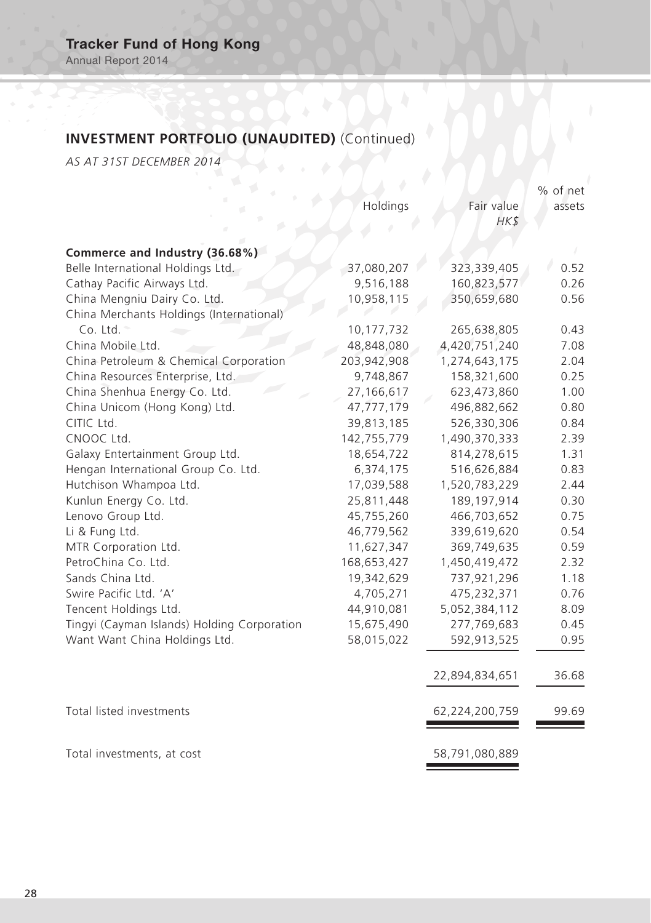Annual Report 2014

# **INVESTMENT PORTFOLIO (UNAUDITED)** (Continued)

*AS AT 31ST DECEMBER 2014*

|                                             |             |                | % of net |
|---------------------------------------------|-------------|----------------|----------|
|                                             | Holdings    | Fair value     | assets   |
|                                             |             | HK\$           |          |
|                                             |             |                |          |
| Commerce and Industry (36.68%)              |             |                |          |
| Belle International Holdings Ltd.           | 37,080,207  | 323,339,405    | 0.52     |
| Cathay Pacific Airways Ltd.                 | 9,516,188   | 160,823,577    | 0.26     |
| China Mengniu Dairy Co. Ltd.                | 10,958,115  | 350,659,680    | 0.56     |
| China Merchants Holdings (International)    |             |                |          |
| $Co.$ Ltd. $*$                              | 10,177,732  | 265,638,805    | 0.43     |
| China Mobile Ltd.                           | 48,848,080  | 4,420,751,240  | 7.08     |
| China Petroleum & Chemical Corporation      | 203,942,908 | 1,274,643,175  | 2.04     |
| China Resources Enterprise, Ltd.            | 9,748,867   | 158,321,600    | 0.25     |
| China Shenhua Energy Co. Ltd.               | 27,166,617  | 623,473,860    | 1.00     |
| China Unicom (Hong Kong) Ltd.               | 47,777,179  | 496,882,662    | 0.80     |
| CITIC Ltd.                                  | 39,813,185  | 526,330,306    | 0.84     |
| CNOOC Ltd.                                  | 142,755,779 | 1,490,370,333  | 2.39     |
| Galaxy Entertainment Group Ltd.             | 18,654,722  | 814,278,615    | 1.31     |
| Hengan International Group Co. Ltd.         | 6,374,175   | 516,626,884    | 0.83     |
| Hutchison Whampoa Ltd.                      | 17,039,588  | 1,520,783,229  | 2.44     |
| Kunlun Energy Co. Ltd.                      | 25,811,448  | 189, 197, 914  | 0.30     |
| Lenovo Group Ltd.                           | 45,755,260  | 466,703,652    | 0.75     |
| Li & Fung Ltd.                              | 46,779,562  | 339,619,620    | 0.54     |
| MTR Corporation Ltd.                        | 11,627,347  | 369,749,635    | 0.59     |
| PetroChina Co. Ltd.                         | 168,653,427 | 1,450,419,472  | 2.32     |
| Sands China Ltd.                            | 19,342,629  | 737,921,296    | 1.18     |
| Swire Pacific Ltd. 'A'                      | 4,705,271   | 475,232,371    | 0.76     |
| Tencent Holdings Ltd.                       | 44,910,081  | 5,052,384,112  | 8.09     |
| Tingyi (Cayman Islands) Holding Corporation | 15,675,490  | 277,769,683    | 0.45     |
| Want Want China Holdings Ltd.               | 58,015,022  | 592,913,525    | 0.95     |
|                                             |             |                |          |
|                                             |             | 22,894,834,651 | 36.68    |
| Total listed investments                    |             | 62,224,200,759 | 99.69    |
| Total investments, at cost                  |             | 58,791,080,889 |          |
|                                             |             |                |          |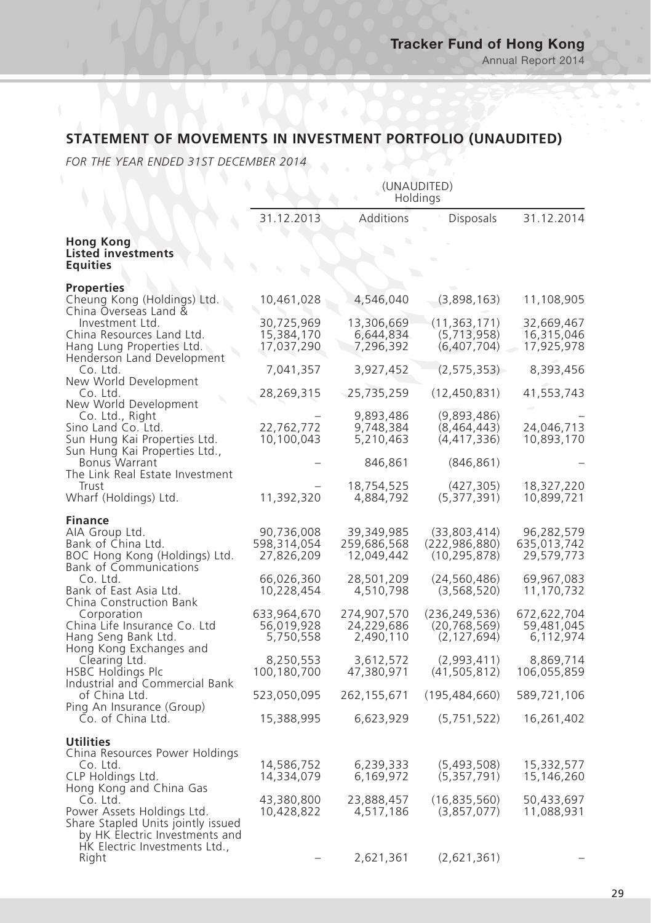# **STATEMENT OF MOVEMENTS IN INVESTMENT PORTFOLIO (UNAUDITED)**

*FOR THE YEAR ENDED 31ST DECEMBER 2014*

|                                                                                                                                                 | (UNAUDITED)<br>Holdings                               |                                                       |                                                                     |                                                       |
|-------------------------------------------------------------------------------------------------------------------------------------------------|-------------------------------------------------------|-------------------------------------------------------|---------------------------------------------------------------------|-------------------------------------------------------|
|                                                                                                                                                 | 31.12.2013                                            | <b>Additions</b>                                      | <b>Disposals</b>                                                    | 31.12.2014                                            |
| <b>Hong Kong</b><br><b>Listed investments</b><br><b>Equities</b>                                                                                |                                                       |                                                       |                                                                     |                                                       |
| <b>Properties</b><br>Cheung Kong (Holdings) Ltd.<br>China Overseas Land &                                                                       | 10,461,028                                            | 4,546,040                                             | (3,898,163)                                                         | 11,108,905                                            |
| Investment Ltd.<br>China Resources Land Ltd.<br>Hang Lung Properties Ltd.                                                                       | 30,725,969<br>15,384,170<br>17,037,290                | 13,306,669<br>6,644,834<br>7,296,392                  | (11, 363, 171)<br>(5,713,958)<br>(6,407,704)                        | 32,669,467<br>16,315,046<br>17,925,978                |
| Henderson Land Development<br>Co. Ltd.                                                                                                          | 7,041,357                                             | 3,927,452                                             | (2, 575, 353)                                                       | 8,393,456                                             |
| New World Development<br>Co. Ltd.                                                                                                               | 28,269,315                                            | 25,735,259                                            | (12, 450, 831)                                                      | 41,553,743                                            |
| New World Development<br>Co. Ltd., Right<br>Sino Land Co. Ltd.<br>Sun Hung Kai Properties Ltd.                                                  | 22,762,772<br>10,100,043                              | 9,893,486<br>9,748,384<br>5,210,463                   | (9,893,486)<br>(8,464,443)<br>(4, 417, 336)                         | 24,046,713<br>10,893,170                              |
| Sun Hung Kai Properties Ltd.,<br><b>Bonus Warrant</b>                                                                                           |                                                       | 846,861                                               | (846, 861)                                                          |                                                       |
| The Link Real Estate Investment<br>Trust<br>Wharf (Holdings) Ltd.                                                                               | 11,392,320                                            | 18,754,525<br>4,884,792                               | (427, 305)<br>(5, 377, 391)                                         | 18,327,220<br>10,899,721                              |
| <b>Finance</b><br>AIA Group Ltd.<br>Bank of China Ltd.<br>BOC Hong Kong (Holdings) Ltd.<br><b>Bank of Communications</b><br>Co. Ltd.            | 90,736,008<br>598,314,054<br>27,826,209<br>66,026,360 | 39,349,985<br>259,686,568<br>12,049,442<br>28,501,209 | (33,803,414)<br>(222, 986, 880)<br>(10, 295, 878)<br>(24, 560, 486) | 96,282,579<br>635,013,742<br>29,579,773<br>69,967,083 |
| Bank of East Asia Ltd.<br>China Construction Bank                                                                                               | 10,228,454                                            | 4,510,798                                             | (3,568,520)                                                         | 11,170,732                                            |
| Corporation<br>China Life Insurance Co. Ltd<br>Hang Seng Bank Ltd.                                                                              | 633,964,670<br>56,019,928<br>5,750,558                | 274,907,570<br>24,229,686<br>2,490,110                | (236, 249, 536)<br>(20, 768, 569)<br>(2, 127, 694)                  | 672,622,704<br>59,481,045<br>6,112,974                |
| Hong Kong Exchanges and<br>Clearing Ltd.<br><b>HSBC Holdings Plc</b>                                                                            | 8,250,553<br>100,180,700                              | 3,612,572<br>47,380,971                               | (2,993,411)<br>(41, 505, 812)                                       | 8,869,714<br>106,055,859                              |
| Industrial and Commercial Bank<br>of China Ltd.                                                                                                 | 523,050,095                                           | 262,155,671                                           | (195, 484, 660)                                                     | 589,721,106                                           |
| Ping An Insurance (Group)<br>Co. of China Ltd.                                                                                                  | 15,388,995                                            | 6,623,929                                             | (5,751,522)                                                         | 16,261,402                                            |
| <b>Utilities</b><br>China Resources Power Holdings<br>Co. Ltd.<br>CLP Holdings Ltd.<br>Hong Kong and China Gas                                  | 14,586,752<br>14,334,079                              | 6,239,333<br>6,169,972                                | (5,493,508)<br>(5,357,791)                                          | 15,332,577<br>15,146,260                              |
| Co. Ltd.<br>Power Assets Holdings Ltd.<br>Share Stapled Units jointly issued<br>by HK Electric Investments and<br>HK Electric Investments Ltd., | 43,380,800<br>10,428,822                              | 23,888,457<br>4,517,186                               | (16,835,560)<br>(3,857,077)                                         | 50,433,697<br>11,088,931                              |
| Right                                                                                                                                           |                                                       | 2,621,361                                             | (2,621,361)                                                         |                                                       |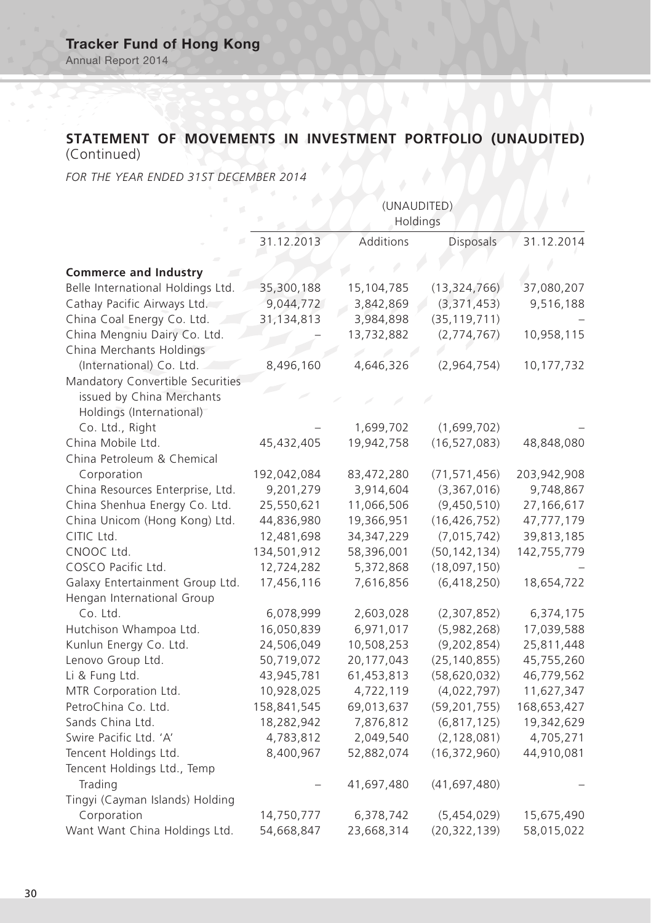# **STATEMENT OF MOVEMENTS IN INVESTMENT PORTFOLIO (UNAUDITED)**

(Continued)

*FOR THE YEAR ENDED 31ST DECEMBER 2014*

|                                   | (UNAUDITED)<br>Holdings |              |                  |             |  |
|-----------------------------------|-------------------------|--------------|------------------|-------------|--|
|                                   | 31.12.2013              | Additions    | <b>Disposals</b> | 31.12.2014  |  |
| <b>Commerce and Industry</b>      |                         |              |                  |             |  |
| Belle International Holdings Ltd. | 35,300,188              | 15,104,785   | (13, 324, 766)   | 37,080,207  |  |
| Cathay Pacific Airways Ltd.       | 9,044,772               | 3,842,869    | (3, 371, 453)    | 9,516,188   |  |
| China Coal Energy Co. Ltd.        | 31,134,813              | 3,984,898    | (35, 119, 711)   |             |  |
| China Mengniu Dairy Co. Ltd.      |                         | 13,732,882   | (2,774,767)      | 10,958,115  |  |
| China Merchants Holdings          |                         |              |                  |             |  |
| (International) Co. Ltd.          | 8,496,160               | 4,646,326    | (2,964,754)      | 10,177,732  |  |
| Mandatory Convertible Securities  |                         |              |                  |             |  |
| issued by China Merchants         |                         |              |                  |             |  |
| Holdings (International)          |                         |              |                  |             |  |
| Co. Ltd., Right                   |                         | 1,699,702    | (1,699,702)      |             |  |
| China Mobile Ltd.                 | 45,432,405              | 19,942,758   | (16, 527, 083)   | 48,848,080  |  |
| China Petroleum & Chemical        |                         |              |                  |             |  |
| Corporation                       | 192,042,084             | 83,472,280   | (71, 571, 456)   | 203,942,908 |  |
| China Resources Enterprise, Ltd.  | 9,201,279               | 3,914,604    | (3,367,016)      | 9,748,867   |  |
| China Shenhua Energy Co. Ltd.     | 25,550,621              | 11,066,506   | (9,450,510)      | 27,166,617  |  |
| China Unicom (Hong Kong) Ltd.     | 44,836,980              | 19,366,951   | (16, 426, 752)   | 47,777,179  |  |
| CITIC Ltd.                        | 12,481,698              | 34, 347, 229 | (7,015,742)      | 39,813,185  |  |
| CNOOC Ltd.                        | 134,501,912             | 58,396,001   | (50, 142, 134)   | 142,755,779 |  |
| COSCO Pacific Ltd.                | 12,724,282              | 5,372,868    | (18,097,150)     |             |  |
| Galaxy Entertainment Group Ltd.   | 17,456,116              | 7,616,856    | (6,418,250)      | 18,654,722  |  |
| Hengan International Group        |                         |              |                  |             |  |
| Co. Ltd.                          | 6,078,999               | 2,603,028    | (2,307,852)      | 6,374,175   |  |
| Hutchison Whampoa Ltd.            | 16,050,839              | 6,971,017    | (5,982,268)      | 17,039,588  |  |
| Kunlun Energy Co. Ltd.            | 24,506,049              | 10,508,253   | (9, 202, 854)    | 25,811,448  |  |
| Lenovo Group Ltd.                 | 50,719,072              | 20,177,043   | (25, 140, 855)   | 45,755,260  |  |
| Li & Fung Ltd.                    | 43,945,781              | 61,453,813   | (58, 620, 032)   | 46,779,562  |  |
| MTR Corporation Ltd.              | 10,928,025              | 4,722,119    | (4,022,797)      | 11,627,347  |  |
| PetroChina Co. Ltd.               | 158,841,545             | 69,013,637   | (59, 201, 755)   | 168,653,427 |  |
| Sands China Ltd.                  | 18,282,942              | 7,876,812    | (6, 817, 125)    | 19,342,629  |  |
| Swire Pacific Ltd. 'A'            | 4,783,812               | 2,049,540    | (2, 128, 081)    | 4,705,271   |  |
| Tencent Holdings Ltd.             | 8,400,967               | 52,882,074   | (16, 372, 960)   | 44,910,081  |  |
| Tencent Holdings Ltd., Temp       |                         |              |                  |             |  |
| Trading                           |                         | 41,697,480   | (41, 697, 480)   |             |  |
| Tingyi (Cayman Islands) Holding   |                         |              |                  |             |  |
| Corporation                       | 14,750,777              | 6,378,742    | (5,454,029)      | 15,675,490  |  |
| Want Want China Holdings Ltd.     | 54,668,847              | 23,668,314   | (20, 322, 139)   | 58,015,022  |  |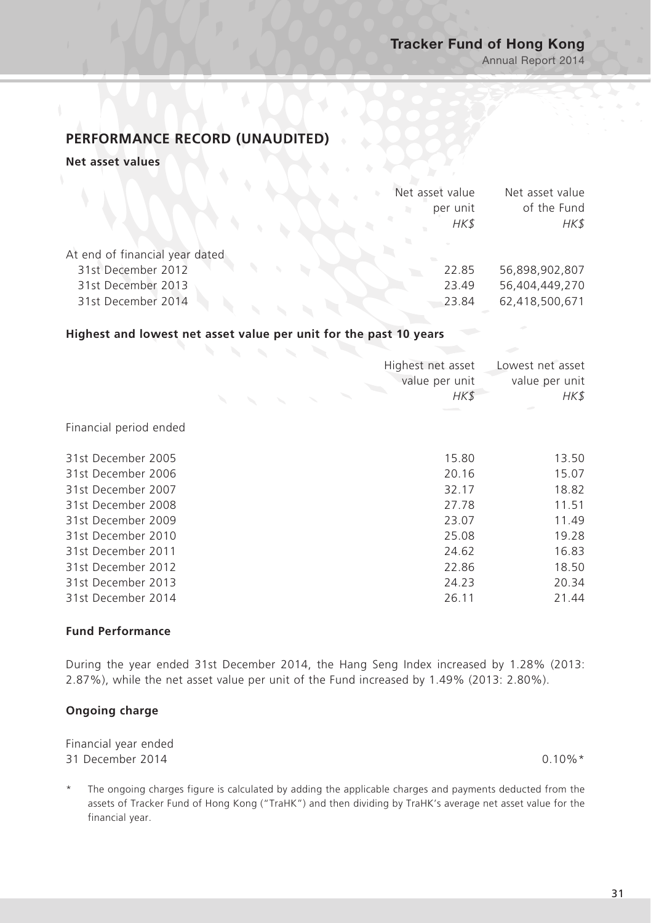Annual Report 2014

# **PERFORMANCE RECORD (UNAUDITED)**

#### **Net asset values**

|                                |  | Net asset value |          | Net asset value |
|--------------------------------|--|-----------------|----------|-----------------|
|                                |  |                 | per unit | of the Fund     |
|                                |  |                 | HK\$     | HK\$            |
|                                |  |                 |          |                 |
| At end of financial year dated |  |                 |          |                 |
| 31st December 2012             |  |                 | 22.85    | 56,898,902,807  |
| 31st December 2013             |  |                 | 23.49    | 56,404,449,270  |
| 31st December 2014             |  |                 | 23.84    | 62,418,500,671  |
|                                |  |                 |          |                 |

### **Highest and lowest net asset value per unit for the past 10 years**

|                        | Highest net asset<br>value per unit<br>HK\$ | Lowest net asset<br>value per unit<br>HK\$ |
|------------------------|---------------------------------------------|--------------------------------------------|
| Financial period ended |                                             |                                            |
| 31st December 2005     | 15.80                                       | 13.50                                      |
| 31st December 2006     | 20.16                                       | 15.07                                      |
| 31st December 2007     | 32.17                                       | 18.82                                      |
| 31st December 2008     | 27.78                                       | 11.51                                      |
| 31st December 2009     | 23.07                                       | 11.49                                      |
| 31st December 2010     | 25.08                                       | 19.28                                      |
| 31st December 2011     | 24.62                                       | 16.83                                      |
| 31st December 2012     | 22.86                                       | 18.50                                      |
| 31st December 2013     | 24.23                                       | 20.34                                      |
| 31st December 2014     | 26.11                                       | 21.44                                      |
|                        |                                             |                                            |

### **Fund Performance**

During the year ended 31st December 2014, the Hang Seng Index increased by 1.28% (2013: 2.87%), while the net asset value per unit of the Fund increased by 1.49% (2013: 2.80%).

### **Ongoing charge**

Financial year ended 31 December 2014 0.10%\*

The ongoing charges figure is calculated by adding the applicable charges and payments deducted from the assets of Tracker Fund of Hong Kong ("TraHK") and then dividing by TraHK's average net asset value for the financial year.